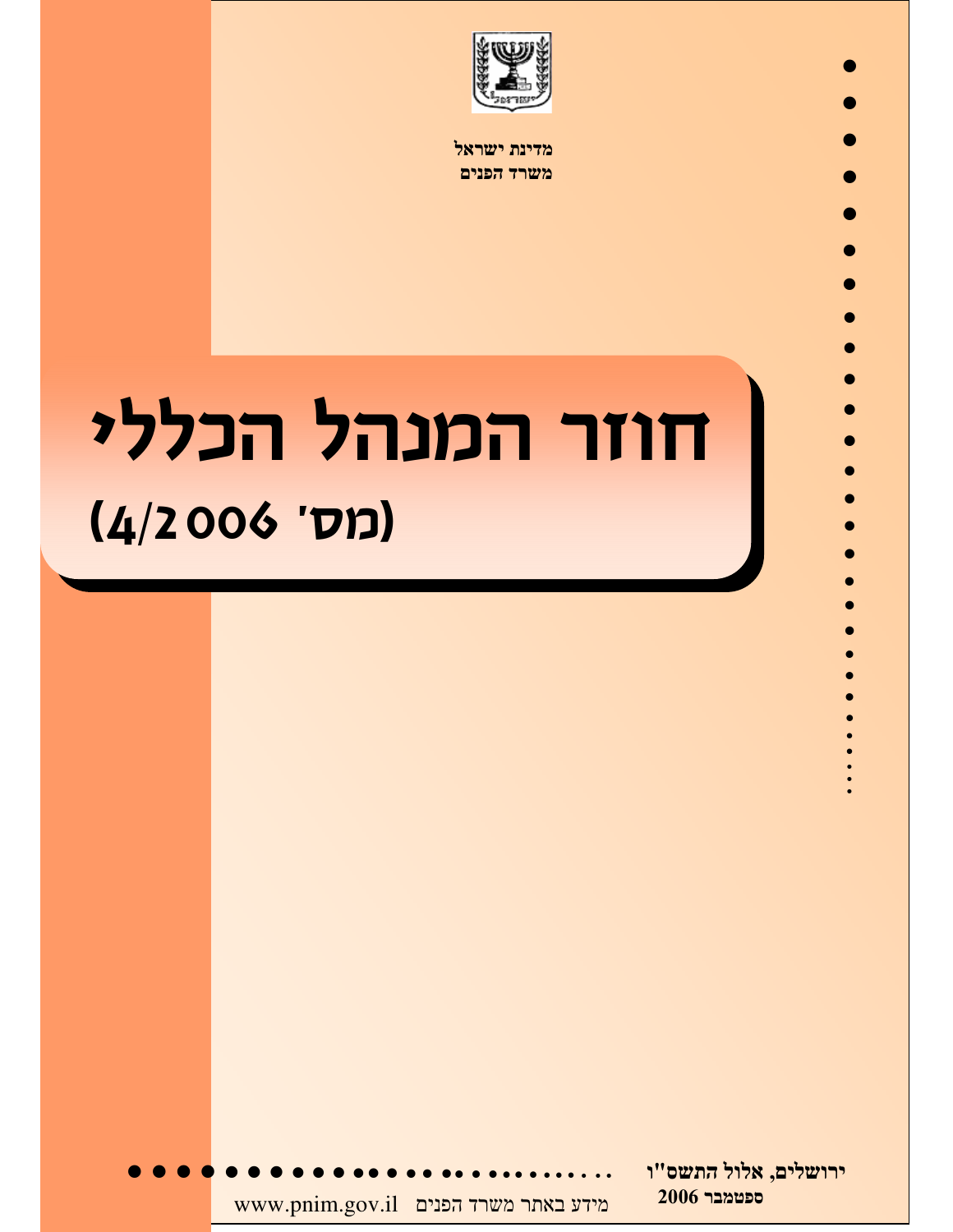

מדינת ישראל משרד הפנים

# חוזר המנהל הכללי (4/2006 'סס

ירושלים, אלול התשס"ו 2006 ספטמבר  $\quad$ www.pnim.gov.il מידע באתר משרד הפנים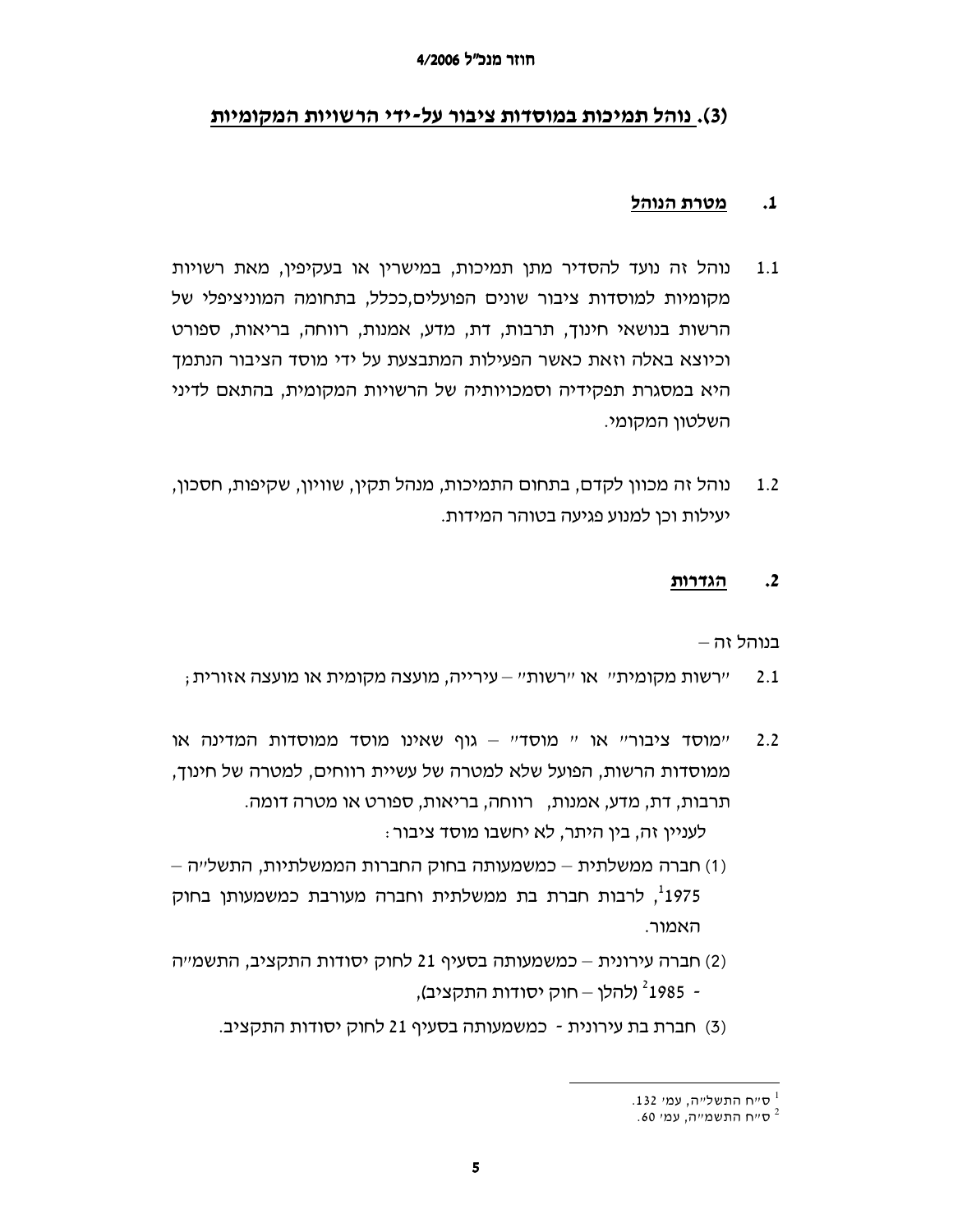## (3). נוהל תמיכות במוסדות ציבור על-ידי הרשויות המקומיות

#### מטרת הנוהל  $\cdot$ 1

- נוהל זה נועד להסדיר מתן תמיכות, במישרין או בעקיפין, מאת רשויות  $1.1$ מקומיות למוסדות ציבור שונים הפועלים,ככלל, בתחומה המוניציפלי של הרשות בנושאי חינוך, תרבות, דת, מדע, אמנות, רווחה, בריאות, ספורט וכיוצא באלה וזאת כאשר הפעילות המתבצעת על ידי מוסד הציבור הנתמך היא במסגרת תפקידיה וסמכויותיה של הרשויות המקומית, בהתאם לדיני השלטוו המקומי.
- נוהל זה מכוון לקדם, בתחום התמיכות, מנהל תקין, שוויון, שקיפות, חסכון,  $1.2$ יעילות וכן למנוע פגיעה בטוהר המידות.

#### $\cdot$ <sup>2</sup> הגדרות

בנוהל זה –

- : יירשות מקומית״. או ״רשות״ עירייה, מועצה מקומית או מועצה אזורית  $2.1$
- ימוסד ציבוריי או יי מוסדיי גוף שאינו מוסד ממוסדות המדינה או  $2.2$ ממוסדות הרשות, הפועל שלא למטרה של עשיית רווחים, למטרה של חינוך, תרבות, דת, מדע, אמנות, \_רווחה, בריאות, ספורט או מטרה דומה. לעניין זה, בין היתר, לא יחשבו מוסד ציבור ּ
- (1) חברה ממשלתית כמשמעותה בחוק החברות הממשלתיות, התשלייה <sup>1</sup>1975. לרבות חברת בת ממשלתית וחברה מעורבת כמשמעותו בחוק האמור.
- (2) חברה עירונית כמשמעותה בסעיף 21 לחוק יסודות התקציב, התשמייה - 1985<sup>?</sup> (להלן – חוק יסודות התקציב),
	- (3) חברת בת עירונית כמשמעותה בסעיף 21 לחוק יסודות התקציב.

<sup>.132 -</sup> ס״ח התשל״ה, עמי

<sup>.60</sup> סייח התשמייה, עמי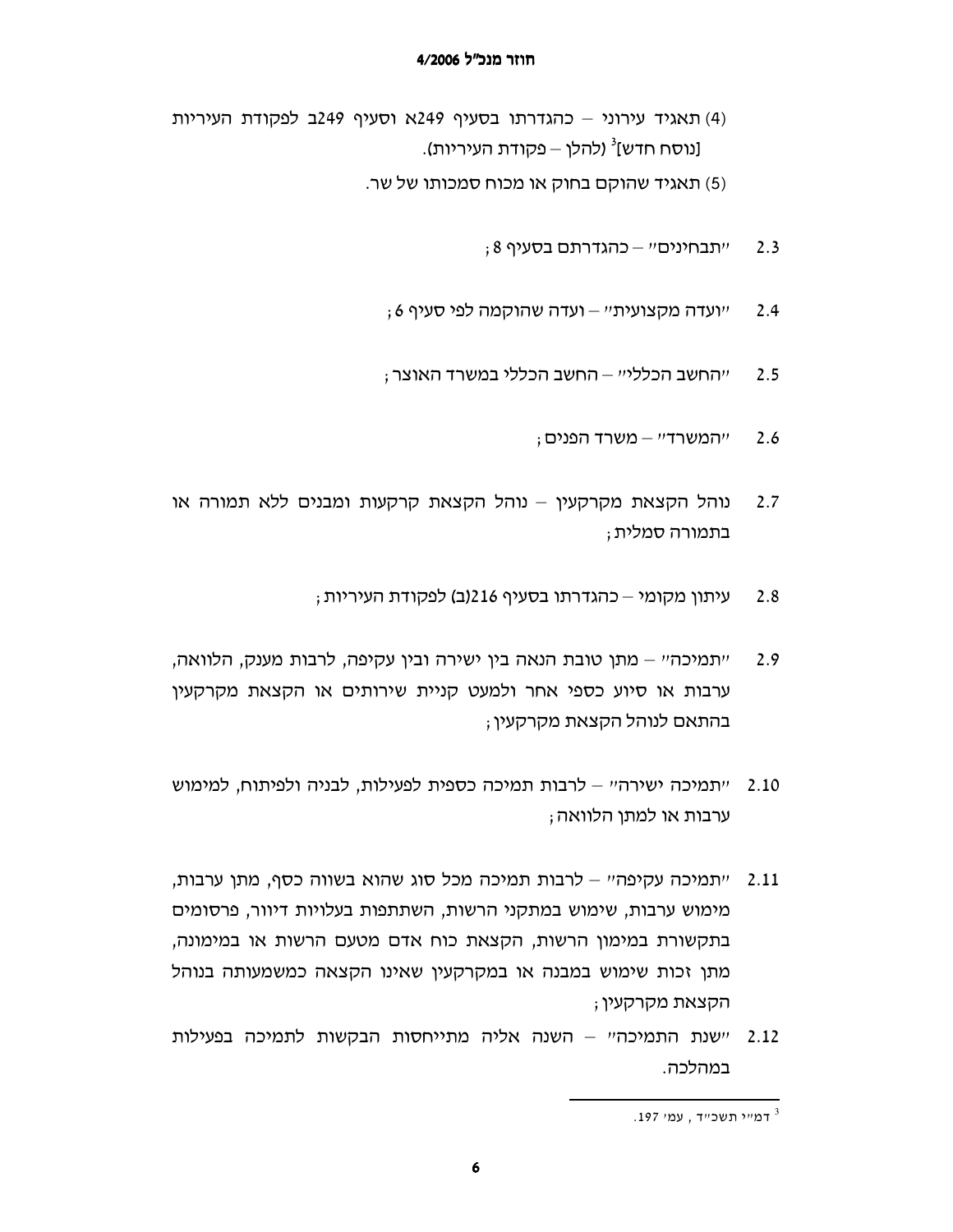- (4) תאגיד עירוני כהגדרתו בסעיף 249א וסעיף 249ב לפקודת העיריות [נוסח חדש]<sup>3</sup> (להלן – פקודת העיריות).
	- (5) תאגיד שהוקם בחוק או מכוח סמכותו של שר.
		- ;8 יתבחינים" כהגדרתם בסעיף  $2.3$
		- ; ועדה מקצועיתיי ועדה שהוקמה לפי סעיף 6  $2.4$
		- ייהחשב הכללייי החשב הכללי במשרד האוצר ;  $2.5$ 
			- $2.6$ ייהמשרדיי – משרד הפנים;
- $2.7$ נוהל הקצאת מקרקעין – נוהל הקצאת קרקעות ומבנים ללא תמורה או בתמורה סמלית ;
	- עיתון מקומי כהגדרתו בסעיף 216(ב) לפקודת העיריות ; 2.8
- ייתמיכהיי מתן טובת הנאה בין ישירה ובין עקיפה, לרבות מענק, הלוואה,  $2.9$ ערבות או סיוע כספי אחר ולמעט קניית שירותים או הקצאת מקרקעין בהתאם לנוהל הקצאת מקרקעין ;
- "תמיכה ישירה" לרבות תמיכה כספית לפעילות, לבניה ולפיתוח, למימוש 2.10 ערבות או למתו הלוואה:
- יתמיכה עקיפהיי לרבות תמיכה מכל סוג שהוא בשווה כסף, מתן ערבות, 2.11 מימוש ערבות, שימוש במתקני הרשות, השתתפות בעלויות דיוור, פרסומים בתקשורת במימון הרשות, הקצאת כוח אדם מטעם הרשות או במימונה, מתן זכות שימוש במבנה או במקרקעין שאינו הקצאה כמשמעותה בנוהל הקצאת מקרקעין;
- 2.12 יישנת התמיכהיי השנה אליה מתייחסות הבקשות לתמיכה בפעילות במהלכה.

<sup>.</sup> דמייר תשכייד , עמי 197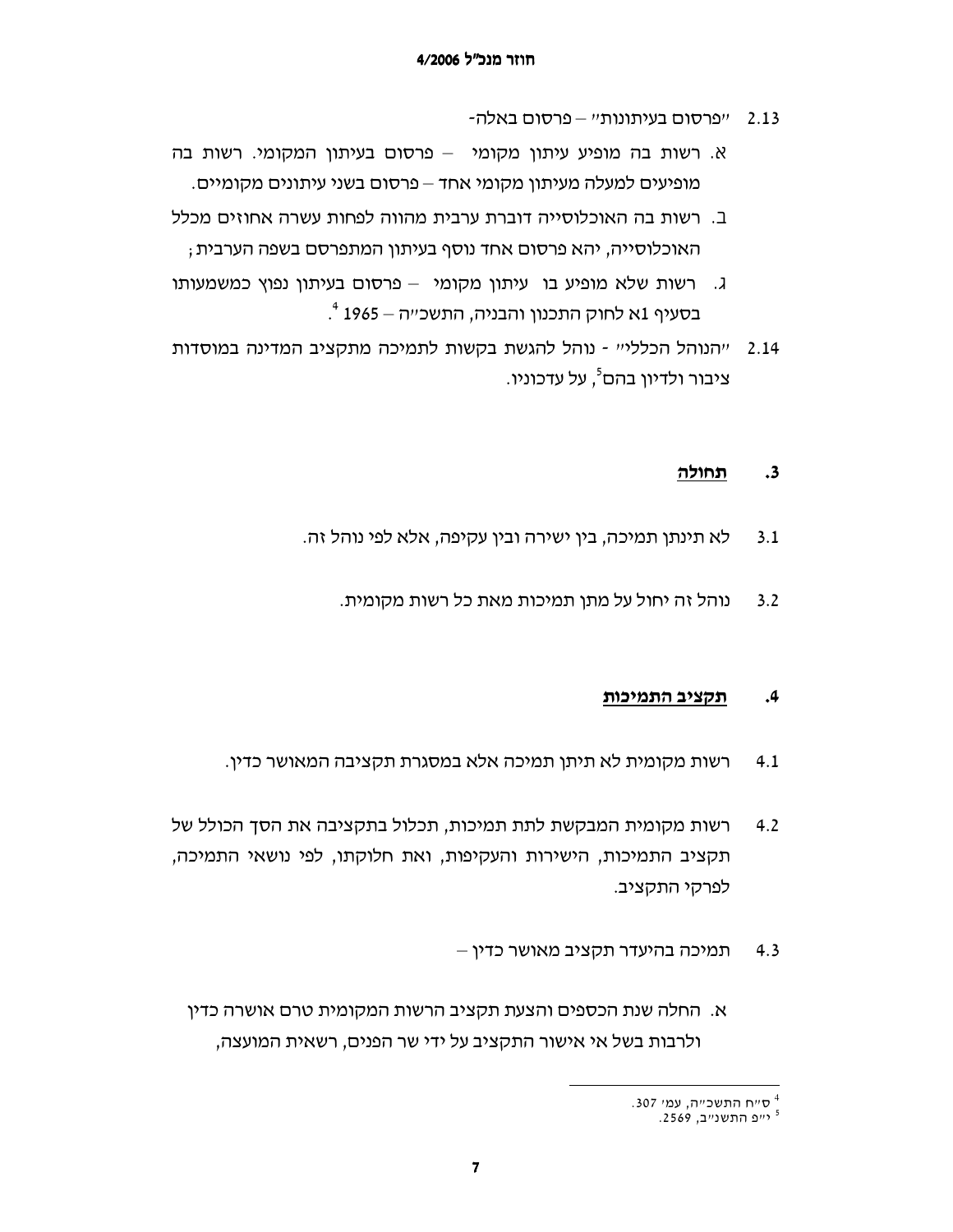- 2.13 "פרסום בעיתונות" פרסום באלה-
- א. רשות בה מופיע עיתון מקומי פרסום בעיתון המקומי. רשות בה מופיעים למעלה מעיתון מקומי אחד – פרסום בשני עיתונים מקומיים.
- ב. רשות בה האוכלוסייה דוברת ערבית מהווה לפחות עשרה אחוזים מכלל האוכלוסייה, יהא פרסום אחד נוסף בעיתון המתפרסם בשפה הערבית ;
- ג. רשות שלא מופיע בו עיתון מקומי פרסום בעיתון נפוץ כמשמעותו בסעיף 1א לחוק התכנון והבניה, התשכ״ה – 1965 <sup>4</sup>.
- "הנוהל הכללי" נוהל להגשת בקשות לתמיכה מתקציב המדינה במוסדות 2.14 ציבור ולדיון בהם<sup>5</sup>, על עדכוניו.

#### תחולה  $\cdot$ 3

- לא תינתו תמיכה, בין ישירה ובין עקיפה, אלא לפי נוהל זה.  $3.1$ 
	- נוהל זה יחול על מתן תמיכות מאת כל רשות מקומית.  $3.2$

#### $.4$ תקציב התמיכות

- רשות מקומית לא תיתן תמיכה אלא במסגרת תקציבה המאושר כדין.  $4.1$
- רשות מקומית המבקשת לתת תמיכות, תכלול בתקציבה את הסך הכולל של  $4.2$ תקציב התמיכות, הישירות והעקיפות, ואת חלוקתו, לפי נושאי התמיכה, לפרקי התקציב.
	- תמיכה בהיעדר תקציב מאושר כדין  $4.3$
	- א. החלה שנת הכספים והצעת תקציב הרשות המקומית טרם אושרה כדיו ולרבות בשל אי אישור התקציב על ידי שר הפנים, רשאית המועצה,

<sup>.307</sup> ס״ח התשכ״ה, עמי

<sup>&</sup>lt;sup>5</sup> יייפ התשנייב, 2569.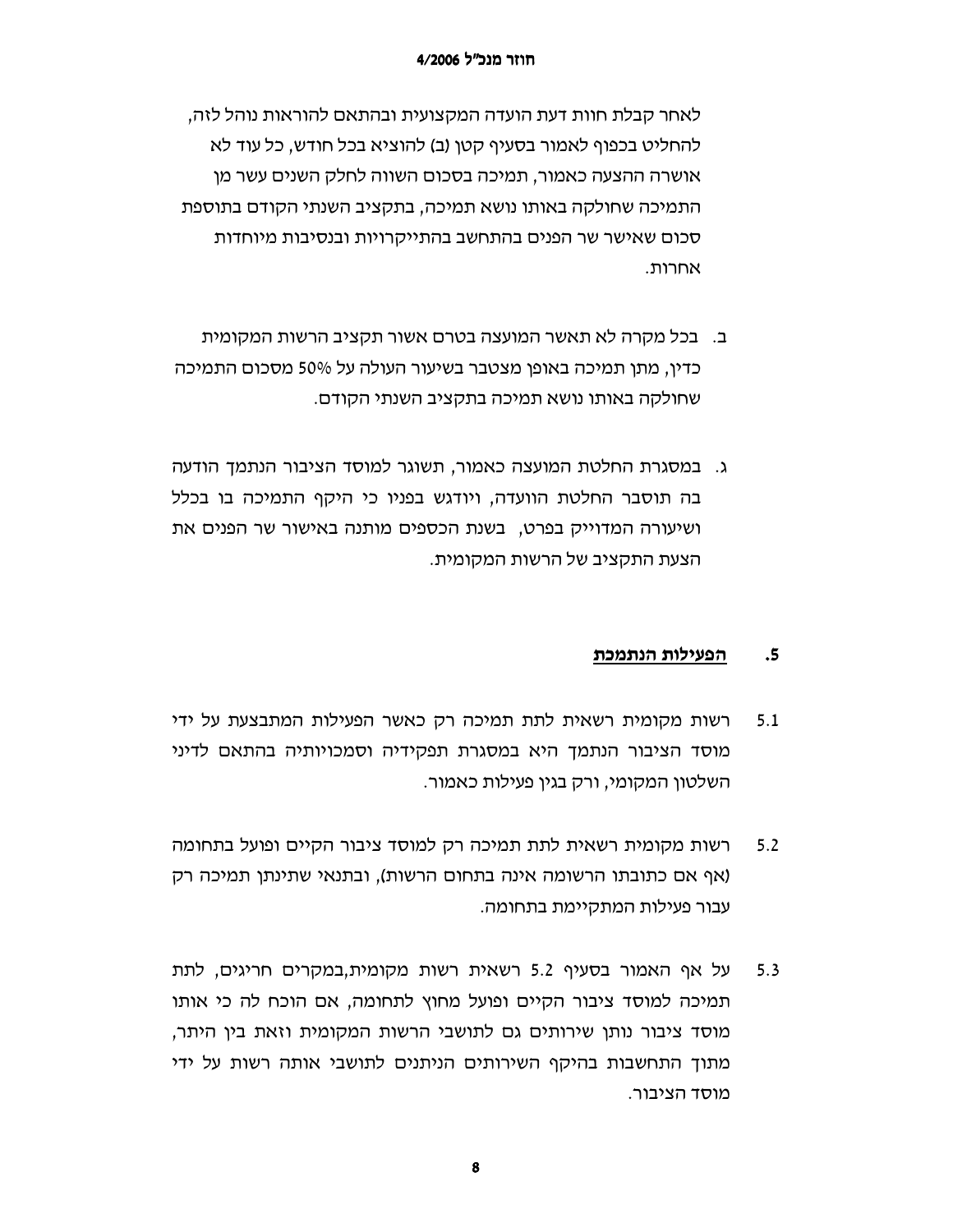לאחר קבלת חוות דעת הועדה המקצועית ובהתאם להוראות נוהל לזה, להחליט בכפוף לאמור בסעיף קטן (ב) להוציא בכל חודש, כל עוד לא אושרה ההצעה כאמור, תמיכה בסכום השווה לחלק השנים עשר מן התמיכה שחולקה באותו נושא תמיכה, בתקציב השנתי הקודם בתוספת סכום שאישר שר הפנים בהתחשב בהתייקרויות ובנסיבות מיוחדות אחרות.

- ב. \_ בכל מקרה לא תאשר המועצה בטרם אשור תקציב הרשות המקומית כדין, מתן תמיכה באופן מצטבר בשיעור העולה על 50% מסכום התמיכה שחולקה באותו נושא תמיכה בתקציב השנתי הקודם.
- ג. במסגרת החלטת המועצה כאמור, תשוגר למוסד הציבור הנתמך הודעה בה תוסבר החלטת הוועדה, ויודגש בפניו כי היקף התמיכה בו בכלל ושיעורה המדוייק בפרט, בשנת הכספים מותנה באישור שר הפנים את הצעת התקציב של הרשות המקומית.

#### הפעילות הנתמכת  $\cdot$ 5

- רשות מקומית רשאית לתת תמיכה רק כאשר הפעילות המתבצעת על ידי  $5.1$ מוסד הציבור הנתמך היא במסגרת תפקידיה וסמכויותיה בהתאם לדיני השלטון המקומי, ורק בגין פעילות כאמור.
- רשות מקומית רשאית לתת תמיכה רק למוסד ציבור הקיים ופועל בתחומה  $5.2$ (אף אם כתובתו הרשומה אינה בתחום הרשות), ובתנאי שתינתן תמיכה רק עבור פעילות המתקיימת בתחומה.
- על אף האמור בסעיף 5.2 רשאית רשות מקומית,במקרים חריגים, לתת  $5.3$ תמיכה למוסד ציבור הקיים ופועל מחוץ לתחומה, אם הוכח לה כי אותו מוסד ציבור נותן שירותים גם לתושבי הרשות המקומית וזאת בין היתר, מתוך התחשבות בהיקף השירותים הניתנים לתושבי אותה רשות על ידי מוסד הציבור.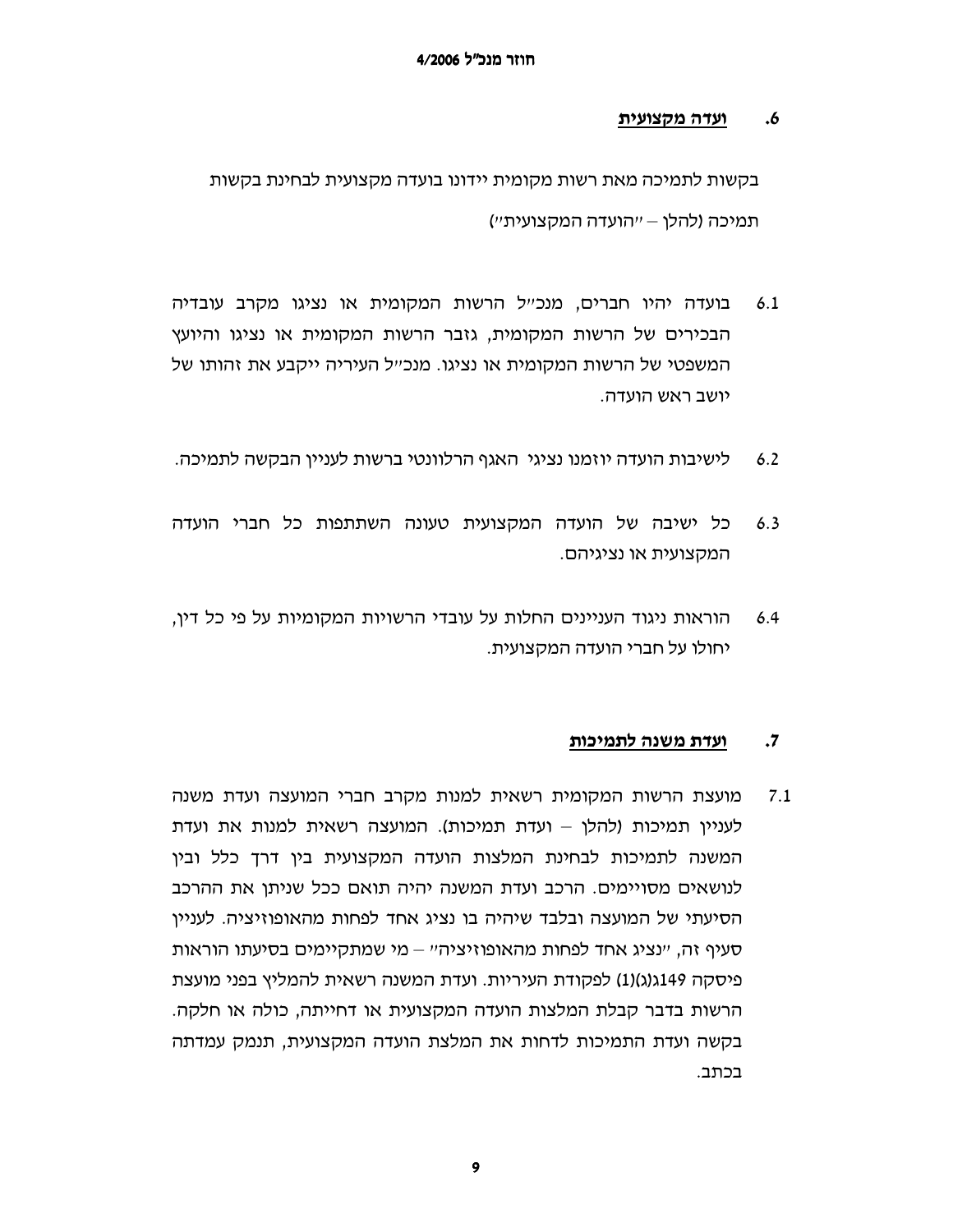#### <u>ועדה מקצועית</u>  $\cdot$ 6

בקשות לתמיכה מאת רשות מקומית יידונו בועדה מקצועית לבחינת בקשות תמיכה (להלו – ״הועדה המקצועית״)

- בועדה יהיו חברים, מנכ״ל הרשות המקומית או נציגו מקרב עובדיה  $6.1$ הבכירים של הרשות המקומית, גזבר הרשות המקומית או נציגו והיועץ המשפטי של הרשות המקומית או נציגו. מנכ״ל העיריה ייקבע את זהותו של יושב ראש הועדה.
- $6.2$ לישיבות הועדה יוזמנו נציגי. האגף הרלוונטי ברשות לעניין הבקשה לתמיכה.
- כל ישיבה של הועדה המקצועית טעונה השתתפות כל חברי הועדה  $6.3$ המקצועית או נציגיהם.
- הוראות ניגוד העניינים החלות על עובדי הרשויות המקומיות על פי כל דין,  $6.4$ יחולו על חברי הועדה המקצועית.

#### ועדת משנה לתמיכות  $\cdot$ 7

 $7.1$ מועצת הרשות המקומית רשאית למנות מקרב חברי המועצה ועדת משנה לעניין תמיכות (להלן – ועדת תמיכות). המועצה רשאית למנות את ועדת המשנה לתמיכות לבחינת המלצות הועדה המקצועית בין דרך כלל ובין לנושאים מסויימים. הרכב ועדת המשנה יהיה תואם ככל שניתן את ההרכב הסיעתי של המועצה ובלבד שיהיה בו נציג אחד לפחות מהאופוזיציה. לעניין סעיף זה, "נציג אחד לפחות מהאופוזיציה" – מי שמתקיימים בסיעתו הוראות פיסקה 11(ג(ג)(1) לפקודת העיריות. ועדת המשנה רשאית להמליץ בפני מועצת הרשות בדבר קבלת המלצות הועדה המקצועית או דחייתה, כולה או חלקה. בקשה ועדת התמיכות לדחות את המלצת הועדה המקצועית, תנמק עמדתה בכתב.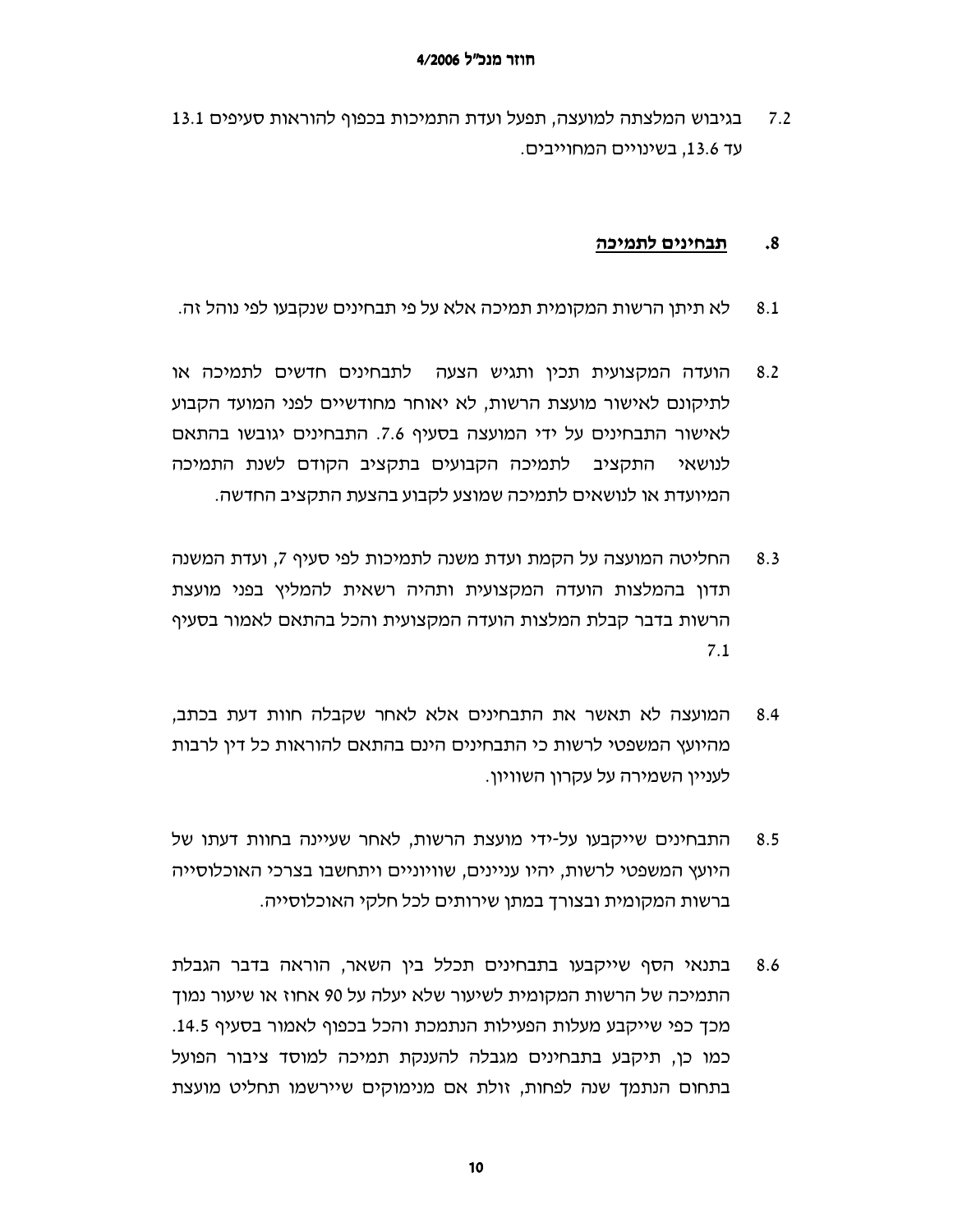בגיבוש המלצתה למועצה, תפעל ועדת התמיכות בכפוף להוראות סעיפים 13.1  $7.2$ עד 13.6, בשינויים המחוייבים.

#### תבחינים לתמיכה  $\cdot$ 8

- לא תיתן הרשות המקומית תמיכה אלא על פי תבחינים שנקבעו לפי נוהל זה. 8.1
- הועדה המקצועית תכיו ותגיש הצעה \_ לתבחינים חדשים לתמיכה או  $8.2$ לתיקונם לאישור מועצת הרשות, לא יאוחר מחודשיים לפני המועד הקבוע לאישור התבחינים על ידי המועצה בסעיף 7.6. התבחינים יגובשו בהתאם התקציב לתמיכה הקבועים בתקציב הקודם לשנת התמיכה לנושאי המיועדת או לנושאים לתמיכה שמוצע לקבוע בהצעת התקציב החדשה.
- החליטה המועצה על הקמת ועדת משנה לתמיכות לפי סעיף 7, ועדת המשנה  $8.3$ תדון בהמלצות הועדה המקצועית ותהיה רשאית להמליץ בפני מועצת הרשות בדבר קבלת המלצות הועדה המקצועית והכל בהתאם לאמור בסעיף  $7.1$
- המועצה לא תאשר את התבחינים אלא לאחר שקבלה חוות דעת בכתב,  $8.4$ מהיועץ המשפטי לרשות כי התבחינים הינם בהתאם להוראות כל דין לרבות לענייו השמירה על עקרוו השוויוו.
- התבחינים שייקבעו על-ידי מועצת הרשות, לאחר שעיינה בחוות דעתו של 8.5 היועץ המשפטי לרשות, יהיו עניינים, שוויוניים ויתחשבו בצרכי האוכלוסייה ברשות המקומית ובצורך במתן שירותים לכל חלקי האוכלוסייה.
- בתנאי הסף שייקבעו בתבחינים תכלל בין השאר, הוראה בדבר הגבלת 8.6 התמיכה של הרשות המקומית לשיעור שלא יעלה על 90 אחוז או שיעור נמוך מכך כפי שייקבע מעלות הפעילות הנתמכת והכל בכפוף לאמור בסעיף 14.5. כמו כן, תיקבע בתבחינים מגבלה להענקת תמיכה למוסד ציבור הפועל בתחום הנתמך שנה לפחות, זולת אם מנימוקים שיירשמו תחליט מועצת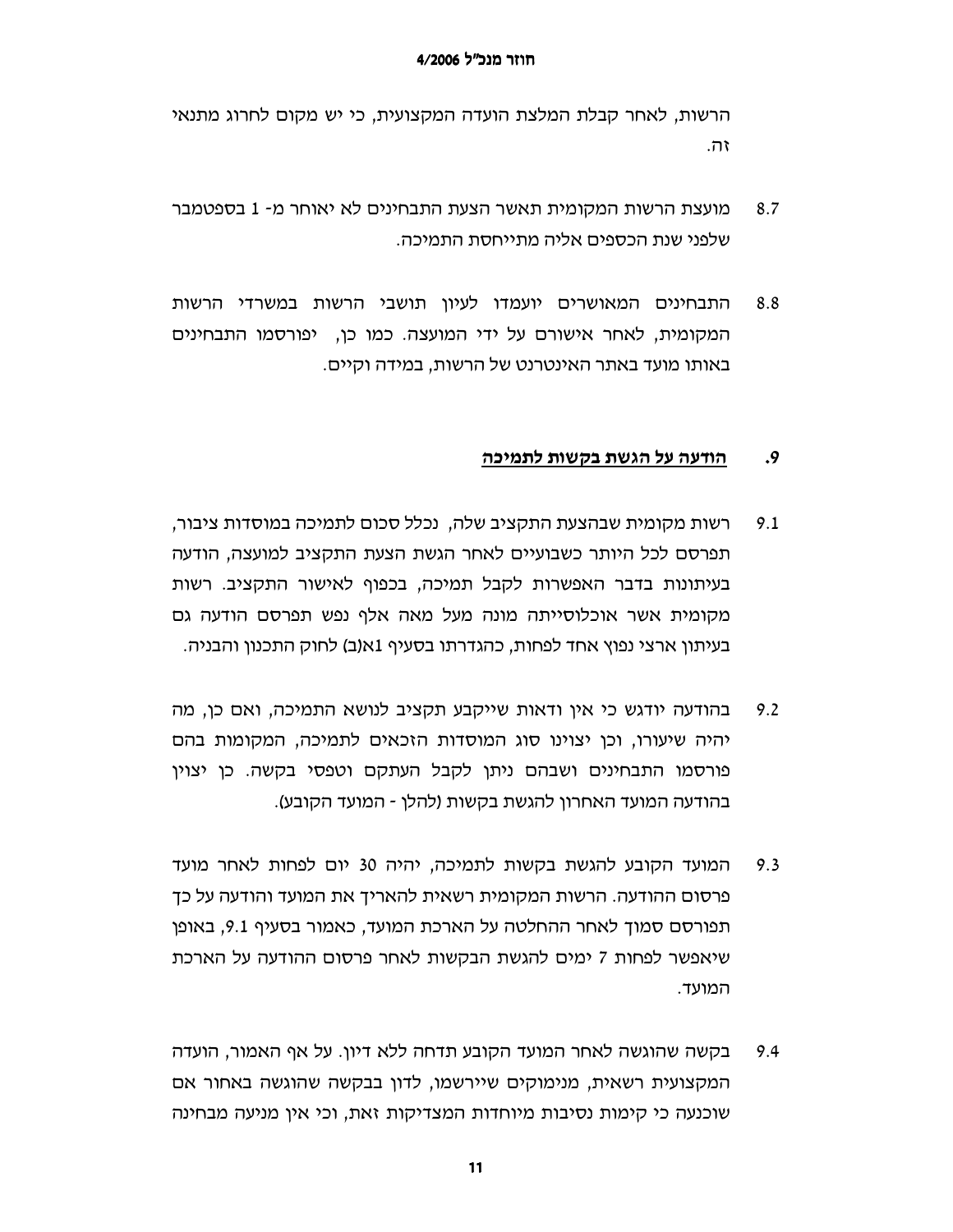הרשות, לאחר קבלת המלצת הועדה המקצועית, כי יש מקום לחרוג מתנאי וה.

- $8.7$ מועצת הרשות המקומית תאשר הצעת התבחינים לא יאוחר מ- 1 בספטמבר שלפני שנת הכספים אליה מתייחסת התמיכה.
- התבחינים המאושרים יועמדו לעיון תושבי הרשות במשרדי הרשות 8.8 המקומית, לאחר אישורם על ידי המועצה. כמו כן, יפורסמו התבחינים באותו מועד באתר האינטרנט של הרשות, במידה וקיים.

#### $.9$ הודעה על הגשת בקשות לתמיכה

- רשות מקומית שבהצעת התקציב שלה, נכלל סכום לתמיכה במוסדות ציבור,  $9.1$ תפרסם לכל היותר כשבועיים לאחר הגשת הצעת התקציב למועצה, הודעה בעיתונות בדבר האפשרות לקבל תמיכה, בכפוף לאישור התקציב. רשות מקומית אשר אוכלוסייתה מונה מעל מאה אלף נפש תפרסם הודעה גם בעיתון ארצי נפוץ אחד לפחות, כהגדרתו בסעיף 1א(ב) לחוק התכנון והבניה.
- בהודעה יודגש כי אין ודאות שייקבע תקציב לנושא התמיכה, ואם כן, מה  $9.2$ יהיה שיעורו, וכן יצוינו סוג המוסדות הזכאים לתמיכה, המקומות בהם פורסמו התבחינים ושבהם ניתן לקבל העתקם וטפסי בקשה. כן יצוין בהודעה המועד האחרון להגשת בקשות (להלן - המועד הקובע).
- המועד הקובע להגשת בקשות לתמיכה, יהיה 30 יום לפחות לאחר מועד  $9.3$ פרסום ההודעה. הרשות המקומית רשאית להאריך את המועד והודעה על כך תפורסם סמוך לאחר ההחלטה על הארכת המועד, כאמור בסעיף 9.1, באופן שיאפשר לפחות 7 ימים להגשת הבקשות לאחר פרסום ההודעה על הארכת המועד.
- בקשה שהוגשה לאחר המועד הקובע תדחה ללא דיון. על אף האמור, הועדה 9.4 המקצועית רשאית, מנימוקים שיירשמו, לדון בבקשה שהוגשה באחור אם שוכנעה כי קימות נסיבות מיוחדות המצדיקות זאת, וכי אין מניעה מבחינה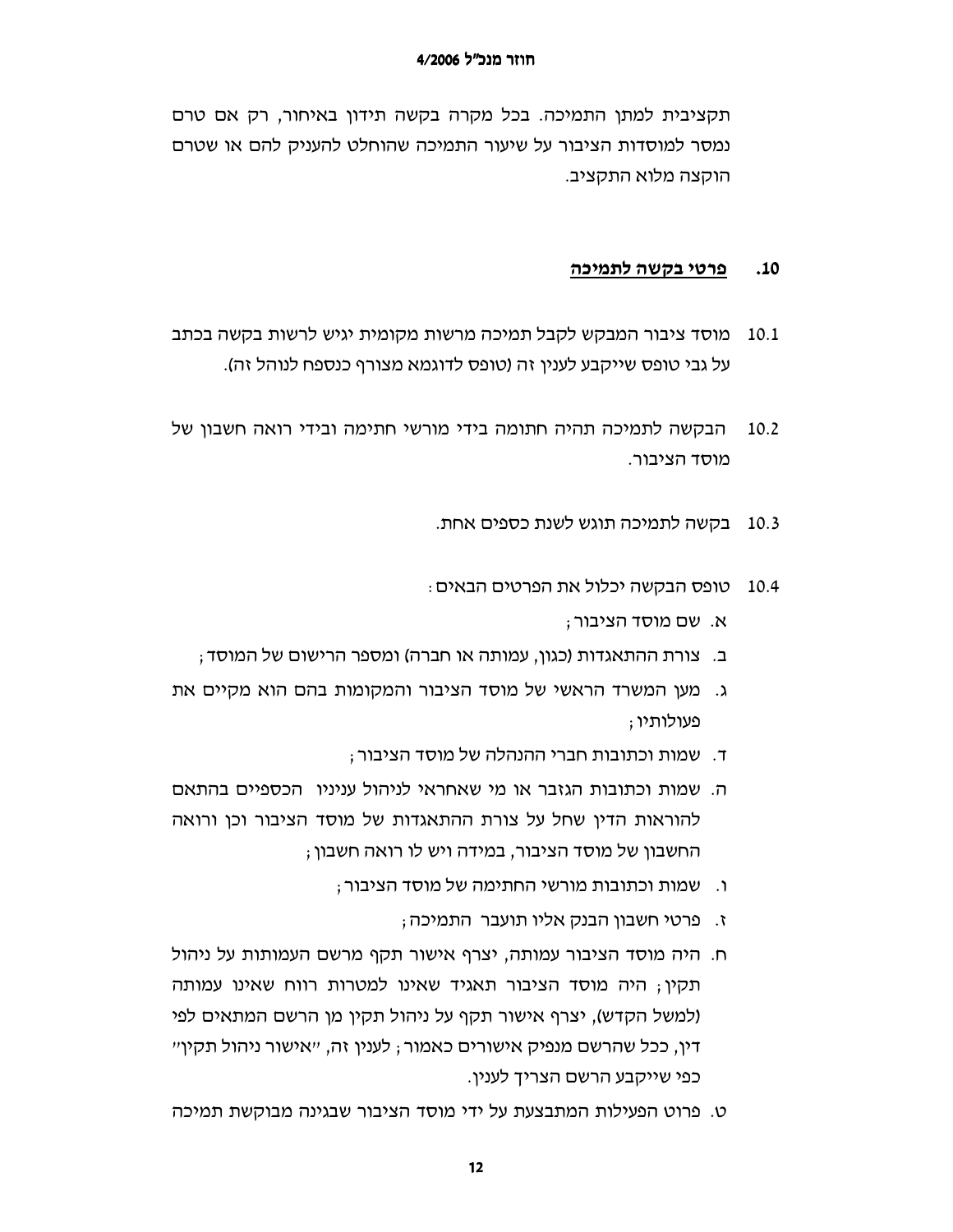תקציבית למתן התמיכה. בכל מקרה בקשה תידון באיחור, רק אם טרם נמסר למוסדות הציבור על שיעור התמיכה שהוחלט להעניק להם או שטרם הוקצה מלוא התקציב.

#### $.10$ פרטי בקשה לתמיכה

- מוסד ציבור המבקש לקבל תמיכה מרשות מקומית יגיש לרשות בקשה בכתב 10.1 על גבי טופס שייקבע לענין זה (טופס לדוגמא מצורף כנספח לנוהל זה).
- הבקשה לתמיכה תהיה חתומה בידי מורשי חתימה ובידי רואה חשבון של 10.2 מוסד הציבור.
	- 10.3 בקשה לתמיכה תוגש לשנת כספים אחת.
	- טופס הבקשה יכלול את הפרטים הבאים :  $10.4$ 
		- א. שם מוסד הציבור;
	- ב. צורת ההתאגדות (כגון, עמותה או חברה) ומספר הרישום של המוסד;
- ג. מעו המשרד הראשי של מוסד הציבור והמקומות בהם הוא מקיים את פעולותיו ;
	- ד. שמות וכתובות חברי ההנהלה של מוסד הציבור :
- ה. שמות וכתובות הגזבר או מי שאחראי לניהול עניניו. הכספיים בהתאם להוראות הדין שחל על צורת ההתאגדות של מוסד הציבור וכן ורואה החשבון של מוסד הציבור, במידה ויש לו רואה חשבון ;
	- ו. שמות וכתובות מורשי החתימה של מוסד הציבור;
		- ז. פרטי חשבון הבנק אליו תועבר התמיכה;
- ח. היה מוסד הציבור עמותה, יצרף אישור תקף מרשם העמותות על ניהול תקין; היה מוסד הציבור תאגיד שאינו למטרות רווח שאינו עמותה (למשל הקדש), יצרף אישור תקף על ניהול תקין מן הרשם המתאים לפי דין, ככל שהרשם מנפיק אישורים כאמור ; לענין זה, ״אישור ניהול תקין״ כפי שייקבע הרשם הצריך לענין.
- ט. פרוט הפעילות המתבצעת על ידי מוסד הציבור שבגינה מבוקשת תמיכה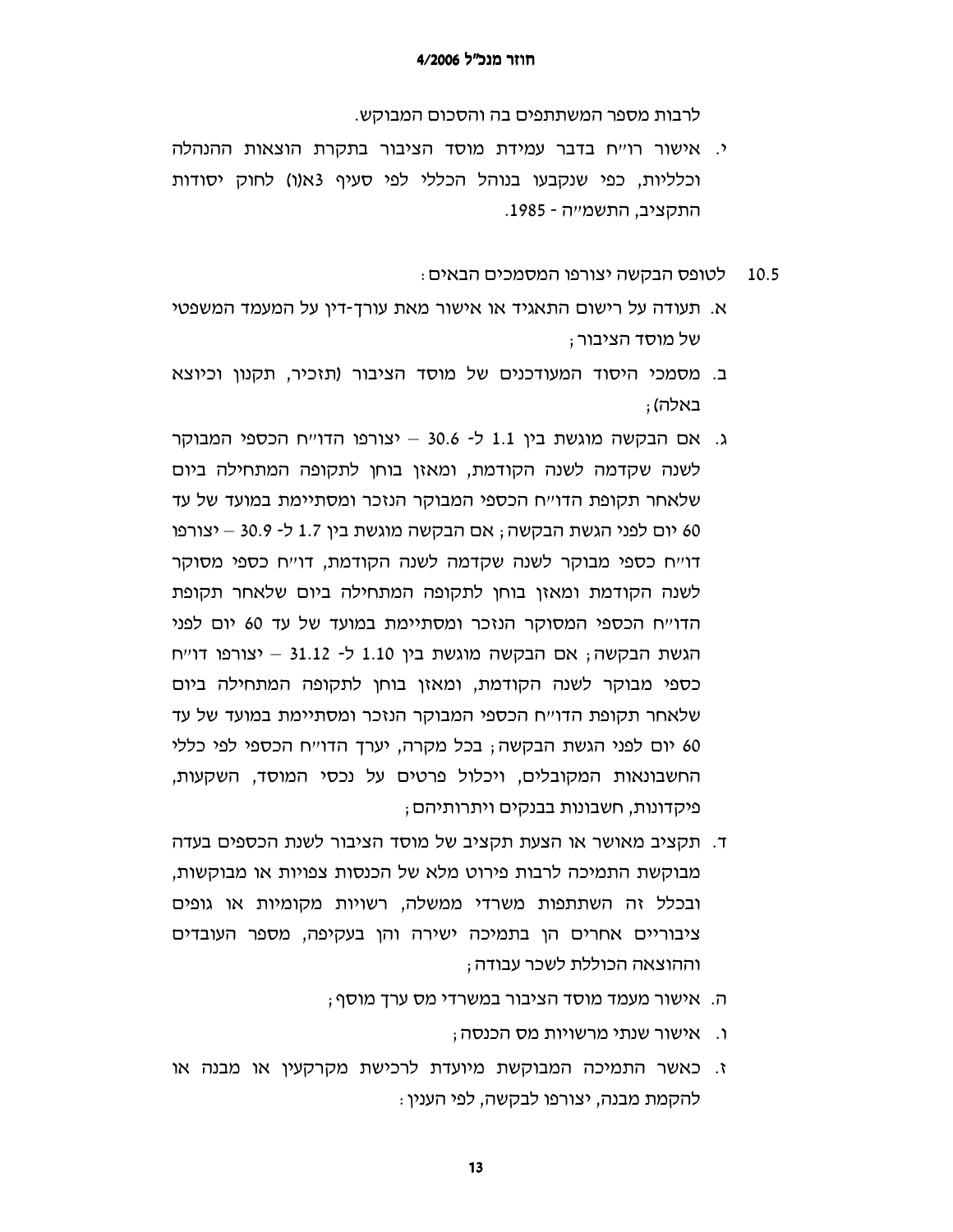לרבות מספר המשתתפים בה והסכום המבוקש.

- י. אישור רו׳יח בדבר עמידת מוסד הציבור בתקרת הוצאות ההנהלה וכלליות, כפי שנקבעו בנוהל הכללי לפי סעיף 3א(ו) לחוק יסודות התקציב, התשמייה - 1985.
	- לטופס הבקשה יצורפו המסמכים הבאים : 10.5
- א. תעודה על רישום התאגיד או אישור מאת עורך-דין על המעמד המשפטי של מוסד הציבור ;
- ב. מסמכי היסוד המעודכנים של מוסד הציבור (תזכיר, תקנון וכיוצא באלה) :
- ג. אם הבקשה מוגשת בין 1.1 ל- 30.6 יצורפו הדוייח הכספי המבוקר לשנה שקדמה לשנה הקודמת, ומאזן בוחן לתקופה המתחילה ביום שלאחר תקופת הדו״ח הכספי המבוקר הנזכר ומסתיימת במועד של עד 60 יום לפני הגשת הבקשה; אם הבקשה מוגשת בין 1.7 ל- 30.9 – יצורפו דו״ח כספי מבוקר לשנה שקדמה לשנה הקודמת, דו״ח כספי מסוקר לשנה הקודמת ומאזן בוחן לתקופה המתחילה ביום שלאחר תקופת הדוייח הכספי המסוקר הנזכר ומסתיימת במועד של עד 60 יום לפני הגשת הבקשה; אם הבקשה מוגשת בין 1.10 ל- 31.12 – יצורפו דוייח כספי מבוקר לשנה הקודמת, ומאזן בוחן לתקופה המתחילה ביום שלאחר תקופת הדו״ח הכספי המבוקר הנזכר ומסתיימת במועד של עד 60 יום לפני הגשת הבקשה; בכל מקרה, יערך הדו׳יח הכספי לפי כללי החשבונאות המקובלים, ויכלול פרטים על נכסי המוסד, השקעות, פיקדונות, חשבונות בבנקים ויתרותיהם ;
- ד. תקציב מאושר או הצעת תקציב של מוסד הציבור לשנת הכספים בעדה מבוקשת התמיכה לרבות פירוט מלא של הכנסות צפויות או מבוקשות, ובכלל זה השתתפות משרדי ממשלה, רשויות מקומיות או גופים ציבוריים אחרים הן בתמיכה ישירה והן בעקיפה, מספר העובדים וההוצאה הכוללת לשכר עבודה ;
	- ה. אישור מעמד מוסד הציבור במשרדי מס ערך מוסף;
		- ו. אישור שנתי מרשויות מס הכנסה;
- ז. כאשר התמיכה המבוקשת מיועדת לרכישת מקרקעין או מבנה או להקמת מבנה, יצורפו לבקשה, לפי הענין :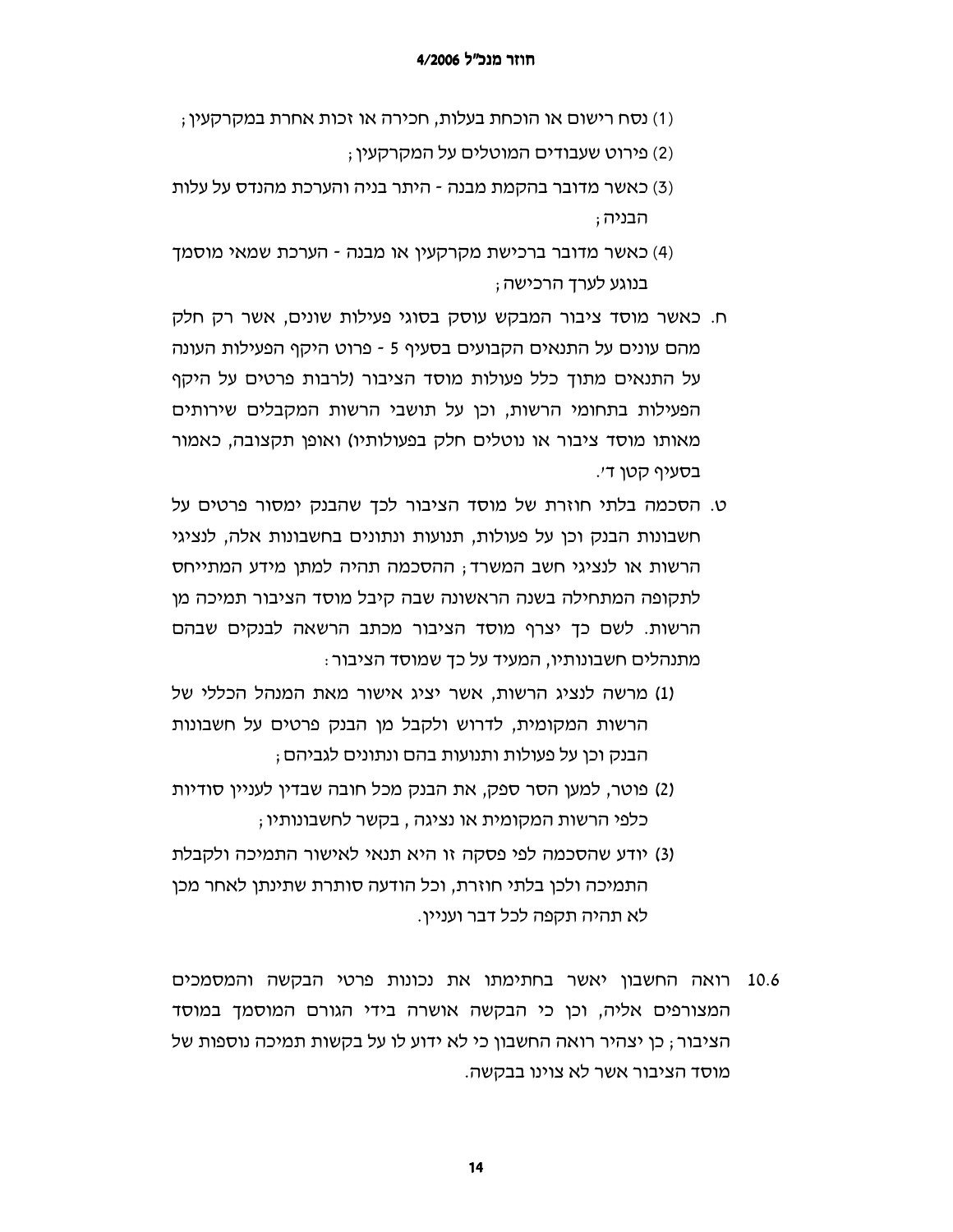- (1) נסח רישום או הוכחת בעלות, חכירה או זכות אחרת במקרקעין ;
	- (2) פירוט שעבודים המוטלים על המקרקעין;
- (3) כאשר מדובר בהקמת מבנה היתר בניה והערכת מהנדס על עלות ּהבניה ;
- (4) כאשר מדובר ברכישת מקרקעין או מבנה הערכת שמאי מוסמך בנוגע לערד הרכישה ;
- ח. כאשר מוסד ציבור המבקש עוסק בסוגי פעילות שונים, אשר רק חלק מהם עונים על התנאים הקבועים בסעיף 5 - פרוט היקף הפעילות העונה על התנאים מתוך כלל פעולות מוסד הציבור (לרבות פרטים על היקף הפעילות בתחומי הרשות, וכן על תושבי הרשות המקבלים שירותים מאותו מוסד ציבור או נוטלים חלק בפעולותיו) ואופן תקצובה, כאמור בסעיף קטן ד׳.
- ט. הסכמה בלתי חוזרת של מוסד הציבור לכך שהבנק ימסור פרטים על חשבונות הבנק וכן על פעולות, תנועות ונתונים בחשבונות אלה, לנציגי הרשות או לנציגי חשב המשרד; ההסכמה תהיה למתן מידע המתייחס לתקופה המתחילה בשנה הראשונה שבה קיבל מוסד הציבור תמיכה מן הרשות. לשם כך יצרף מוסד הציבור מכתב הרשאה לבנקים שבהם מתנהלים חשבונותיו, המעיד על כך שמוסד הציבור :
- (1) מרשה לנציג הרשות, אשר יציג אישור מאת המנהל הכללי של הרשות המקומית, לדרוש ולקבל מן הבנק פרטים על חשבונות הבנק וכו על פעולות ותנועות בהם ונתונים לגביהם :
- (2) פוטר, למען הסר ספק, את הבנק מכל חובה שבדין לעניין סודיות ; כלפי הרשות המקומית או נציגה , בקשר לחשבונותיו
- (3) יודע שהסכמה לפי פסקה זו היא תנאי לאישור התמיכה ולקבלת התמיכה ולכן בלתי חוזרת, וכל הודעה סותרת שתינתן לאחר מכן לא תהיה תקפה לכל דבר ועניין.
- 10.6 רואה החשבון יאשר בחתימתו את נכונות פרטי הבקשה והמסמכים המצורפים אליה, וכן כי הבקשה אושרה בידי הגורם המוסמך במוסד הציבור ; כן יצהיר רואה החשבון כי לא ידוע לו על בקשות תמיכה נוספות של מוסד הציבור אשר לא צוינו בבקשה.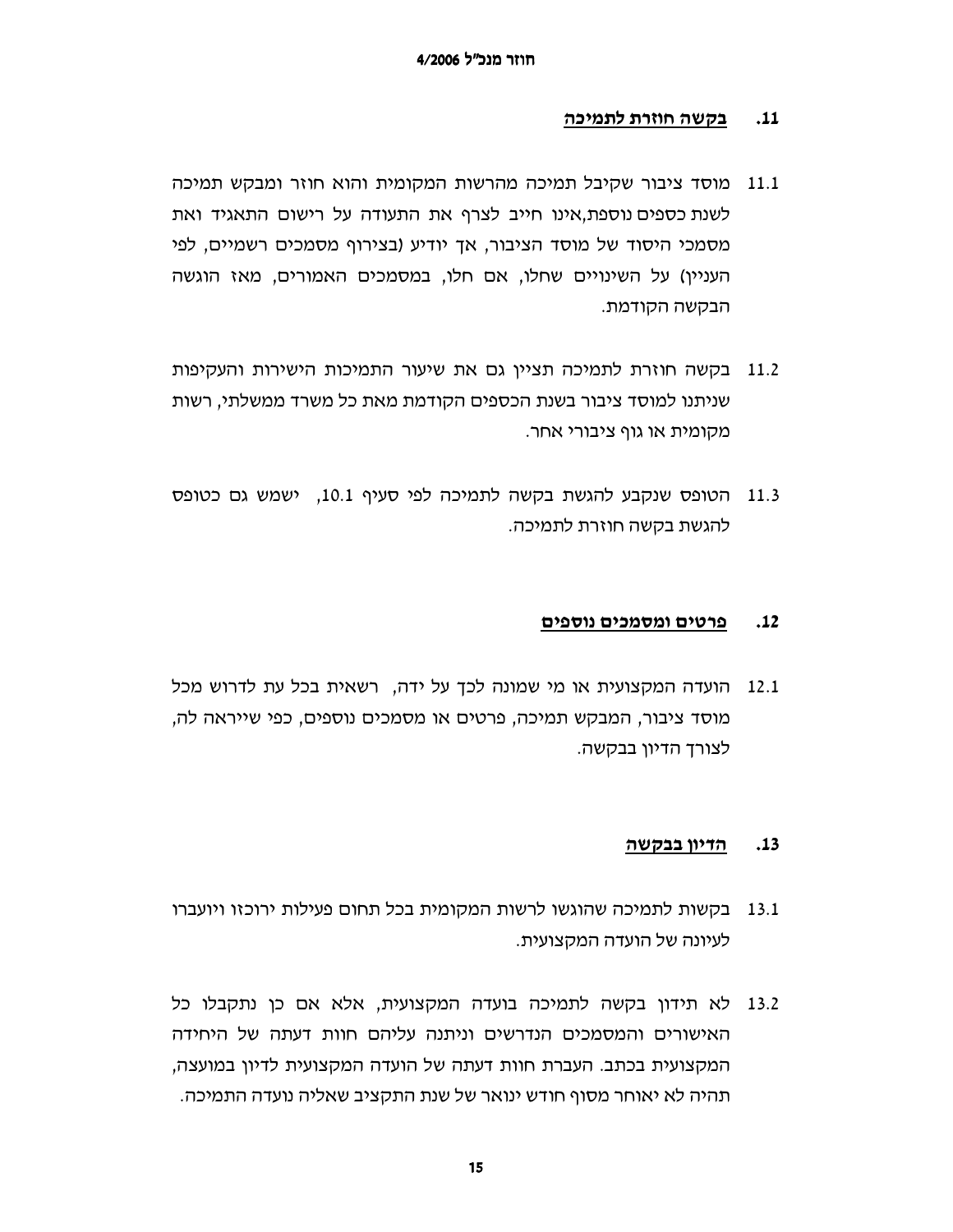#### בקשה חוזרת לתמיכה  $.11$

- מוסד ציבור שקיבל תמיכה מהרשות המקומית והוא חוזר ומבקש תמיכה 11.1 לשנת כספים נוספת,אינו חייב לצרף את התעודה על רישום התאגיד ואת מסמכי היסוד של מוסד הציבור, אך יודיע (בצירוף מסמכים רשמיים, לפי העניין) על השינויים שחלו, אם חלו, במסמכים האמורים, מאז הוגשה הבקשה הקודמת.
- 11.2 בקשה חוזרת לתמיכה תציין גם את שיעור התמיכות הישירות והעקיפות שניתנו למוסד ציבור בשנת הכספים הקודמת מאת כל משרד ממשלתי, רשות מקומית או גוף ציבורי אחר.
- 11.3 הטופס שנקבע להגשת בקשה לתמיכה לפי סעיף 10.1, ישמש גם כטופס להגשת בקשה חוזרת לתמיכה.

#### $.12$ פרטים ומסמכים נוספים

12.1 הועדה המקצועית או מי שמונה לכך על ידה, רשאית בכל עת לדרוש מכל מוסד ציבור, המבקש תמיכה, פרטים או מסמכים נוספים, כפי שייראה לה, לצורך הדיון בבקשה.

#### <u>הדיון בבקשה</u>  $.13$

- 13.1 בקשות לתמיכה שהוגשו לרשות המקומית בכל תחום פעילות ירוכזו ויועברו לעיונה של הועדה המקצועית.
- 13.2 לא תידון בקשה לתמיכה בועדה המקצועית, אלא אם כן נתקבלו כל האישורים והמסמכים הנדרשים וניתנה עליהם חוות דעתה של היחידה המקצועית בכתב. העברת חוות דעתה של הועדה המקצועית לדיון במועצה, תהיה לא יאוחר מסוף חודש ינואר של שנת התקציב שאליה נועדה התמיכה.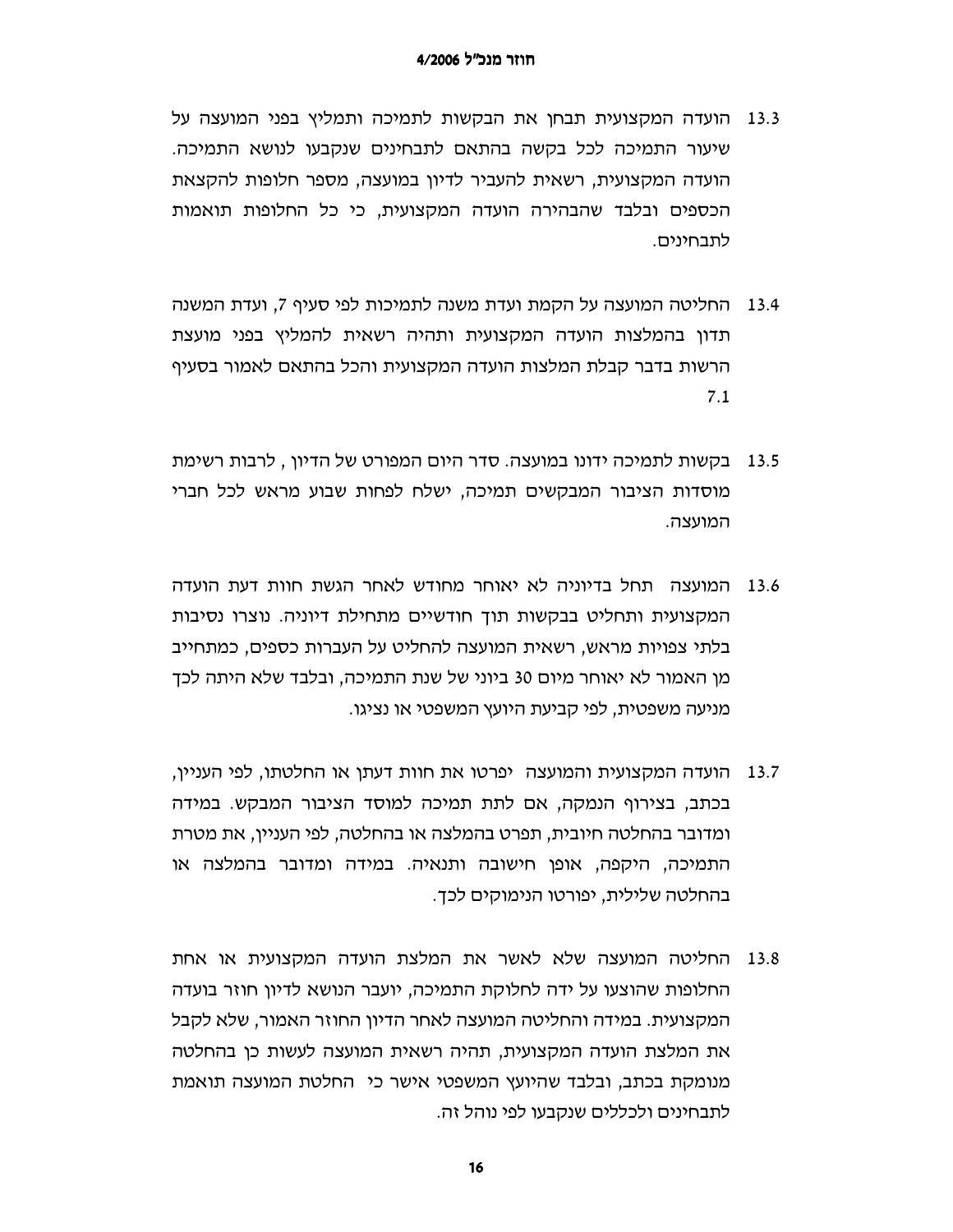- הועדה המקצועית תבחן את הבקשות לתמיכה ותמליץ בפני המועצה על 13.3 שיעור התמיכה לכל בקשה בהתאם לתבחינים שנקבעו לנושא התמיכה. הועדה המקצועית, רשאית להעביר לדיון במועצה, מספר חלופות להקצאת הכספים ובלבד שהבהירה הועדה המקצועית, כי כל החלופות תואמות לתבחינים.
- החליטה המועצה על הקמת ועדת משנה לתמיכות לפי סעיף 7, ועדת המשנה 13.4 תדון בהמלצות הועדה המקצועית ותהיה רשאית להמליץ בפני מועצת הרשות בדבר קבלת המלצות הועדה המקצועית והכל בהתאם לאמור בסעיף  $7.1$
- 13.5 בקשות לתמיכה ידונו במועצה. סדר היום המפורט של הדיון , לרבות רשימת מוסדות הציבור המבקשים תמיכה, ישלח לפחות שבוע מראש לכל חברי המועצה.
- 13.6 המועצה תחל בדיוניה לא יאוחר מחודש לאחר הגשת חוות דעת הועדה המקצועית ותחליט בבקשות תוך חודשיים מתחילת דיוניה. נוצרו נסיבות בלתי צפויות מראש, רשאית המועצה להחליט על העברות כספים, כמתחייב מן האמור לא יאוחר מיום 30 ביוני של שנת התמיכה, ובלבד שלא היתה לכך מניעה משפטית, לפי קביעת היועץ המשפטי או נציגו.
- הועדה המקצועית והמועצה יפרטו את חוות דעתו או החלטתו, לפי העניין, 13.7 בכתב, בצירוף הנמקה, אם לתת תמיכה למוסד הציבור המבקש. במידה ומדובר בהחלטה חיובית, תפרט בהמלצה או בהחלטה, לפי העניין, את מטרת התמיכה, היקפה, אופן חישובה ותנאיה. במידה ומדובר בהמלצה או בהחלטה שלילית, יפורטו הנימוקים לכד.
- 13.8 החליטה המועצה שלא לאשר את המלצת הועדה המקצועית או אחת החלופות שהוצעו על ידה לחלוקת התמיכה, יועבר הנושא לדיון חוזר בועדה המקצועית. במידה והחליטה המועצה לאחר הדיון החוזר האמור, שלא לקבל את המלצת הועדה המקצועית, תהיה רשאית המועצה לעשות כן בהחלטה מנומקת בכתב, ובלבד שהיועץ המשפטי אישר כי החלטת המועצה תואמת לתבחינים ולכללים שנקבעו לפי נוהל זה.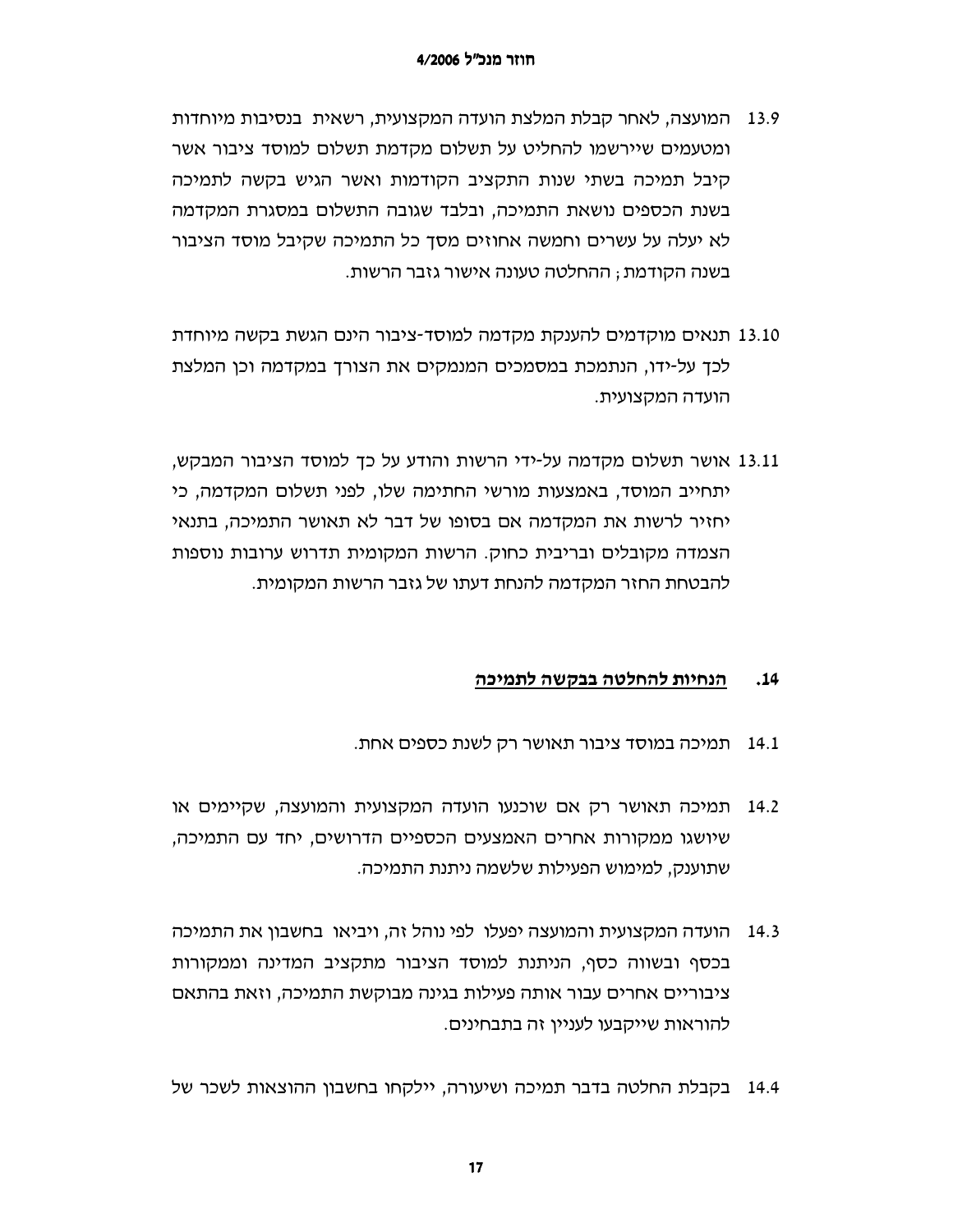- המועצה, לאחר קבלת המלצת הועדה המקצועית, רשאית בנסיבות מיוחדות 13.9 ומטעמים שיירשמו להחליט על תשלום מקדמת תשלום למוסד ציבור אשר קיבל תמיכה בשתי שנות התקציב הקודמות ואשר הגיש בקשה לתמיכה בשנת הכספים נושאת התמיכה, ובלבד שגובה התשלום במסגרת המקדמה לא יעלה על עשרים וחמשה אחוזים מסך כל התמיכה שקיבל מוסד הציבור בשנה הקודמת ; ההחלטה טעונה אישור גזבר הרשות.
- 13.10 תנאים מוקדמים להענקת מקדמה למוסד-ציבור הינם הגשת בקשה מיוחדת לכך על-ידו, הנתמכת במסמכים המנמקים את הצורך במקדמה וכן המלצת הועדה המקצועית.
- 13.11 אושר תשלום מקדמה על-ידי הרשות והודע על כך למוסד הציבור המבקש, יתחייב המוסד, באמצעות מורשי החתימה שלו, לפני תשלום המקדמה, כי יחזיר לרשות את המקדמה אם בסופו של דבר לא תאושר התמיכה, בתנאי הצמדה מקובלים ובריבית כחוק. הרשות המקומית תדרוש ערובות נוספות להבטחת החזר המקדמה להנחת דעתו של גזבר הרשות המקומית.

#### $.14$ הנחיות להחלטה בבקשה לתמיכה

- 14.1 תמיכה במוסד ציבור תאושר רק לשנת כספים אחת.
- תמיכה תאושר רק אם שוכנעו הועדה המקצועית והמועצה, שקיימים או 14.2 שיושגו ממקורות אחרים האמצעים הכספיים הדרושים, יחד עם התמיכה, שתוענק, למימוש הפעילות שלשמה ניתנת התמיכה.
- 14.3 הועדה המקצועית והמועצה יפעלו לפי נוהל זה, ויביאו בחשבון את התמיכה בכסף ובשווה כסף, הניתנת למוסד הציבור מתקציב המדינה וממקורות ציבוריים אחרים עבור אותה פעילות בגינה מבוקשת התמיכה, וזאת בהתאם להוראות שייקבעו לעניין זה בתבחינים.
- 14.4 בקבלת החלטה בדבר תמיכה ושיעורה, יילקחו בחשבוו ההוצאות לשכר של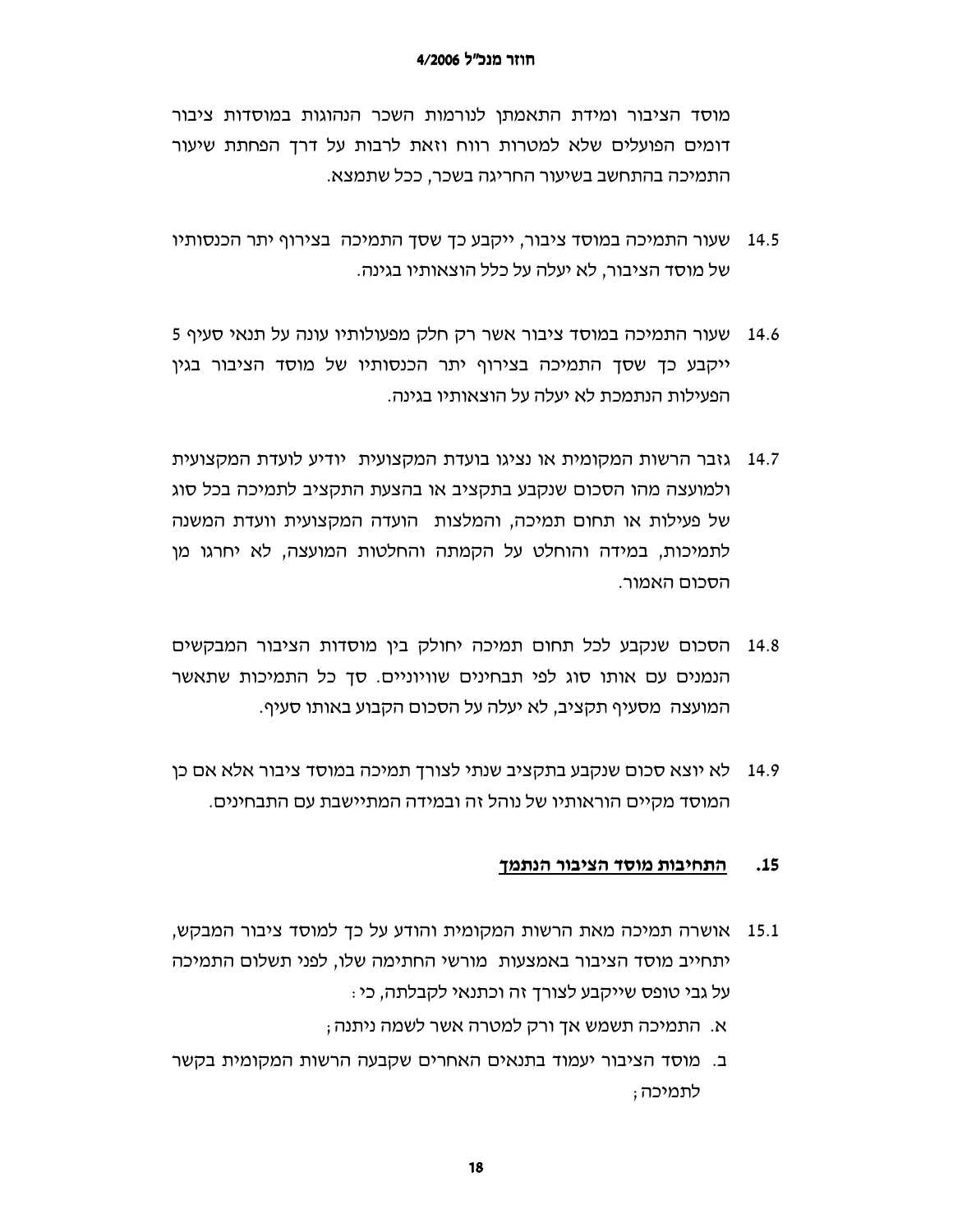מוסד הציבור ומידת התאמתן לנורמות השכר הנהוגות במוסדות ציבור דומים הפועלים שלא למטרות רווח וזאת לרבות על דרך הפחתת שיעור התמיכה בהתחשב בשיעור החריגה בשכר, ככל שתמצא.

- שעור התמיכה במוסד ציבור, ייקבע כך שסך התמיכה בצירוף יתר הכנסותיו 14.5 של מוסד הציבור, לא יעלה על כלל הוצאותיו בגינה.
- 14.6 שעור התמיכה במוסד ציבור אשר רק חלק מפעולותיו עונה על תנאי סעיף 5 ייקבע כך שסך התמיכה בצירוף יתר הכנסותיו של מוסד הציבור בגין הפעילות הנתמכת לא יעלה על הוצאותיו בגינה.
- 14.7 גזבר הרשות המקומית או נציגו בועדת המקצועית יודיע לועדת המקצועית ולמועצה מהו הסכום שנקבע בתקציב או בהצעת התקציב לתמיכה בכל סוג של פעילות או תחום תמיכה, והמלצות הועדה המקצועית וועדת המשנה לתמיכות, במידה והוחלט על הקמתה והחלטות המועצה, לא יחרגו מן הסכום האמור.
- 14.8 הסכום שנקבע לכל תחום תמיכה יחולק בין מוסדות הציבור המבקשים הנמנים עם אותו סוג לפי תבחינים שוויוניים. סך כל התמיכות שתאשר המועצה מסעיף תקציב, לא יעלה על הסכום הקבוע באותו סעיף.
- לא יוצא סכום שנקבע בתקציב שנתי לצורך תמיכה במוסד ציבור אלא אם כן 14.9 המוסד מקיים הוראותיו של נוהל זה ובמידה המתיישבת עם התבחינים.

#### $.15$ התחיבות מוסד הציבור הנתמך

- אושרה תמיכה מאת הרשות המקומית והודע על כך למוסד ציבור המבקש, 15.1 יתחייב מוסד הציבור באמצעות מורשי החתימה שלו, לפני תשלום התמיכה על גבי טופס שייקבע לצורך זה וכתנאי לקבלתה, כי:
	- א. התמיכה תשמש אך ורק למטרה אשר לשמה ניתנה ;
- ב. מוסד הציבור יעמוד בתנאים האחרים שקבעה הרשות המקומית בקשר לתמיכה;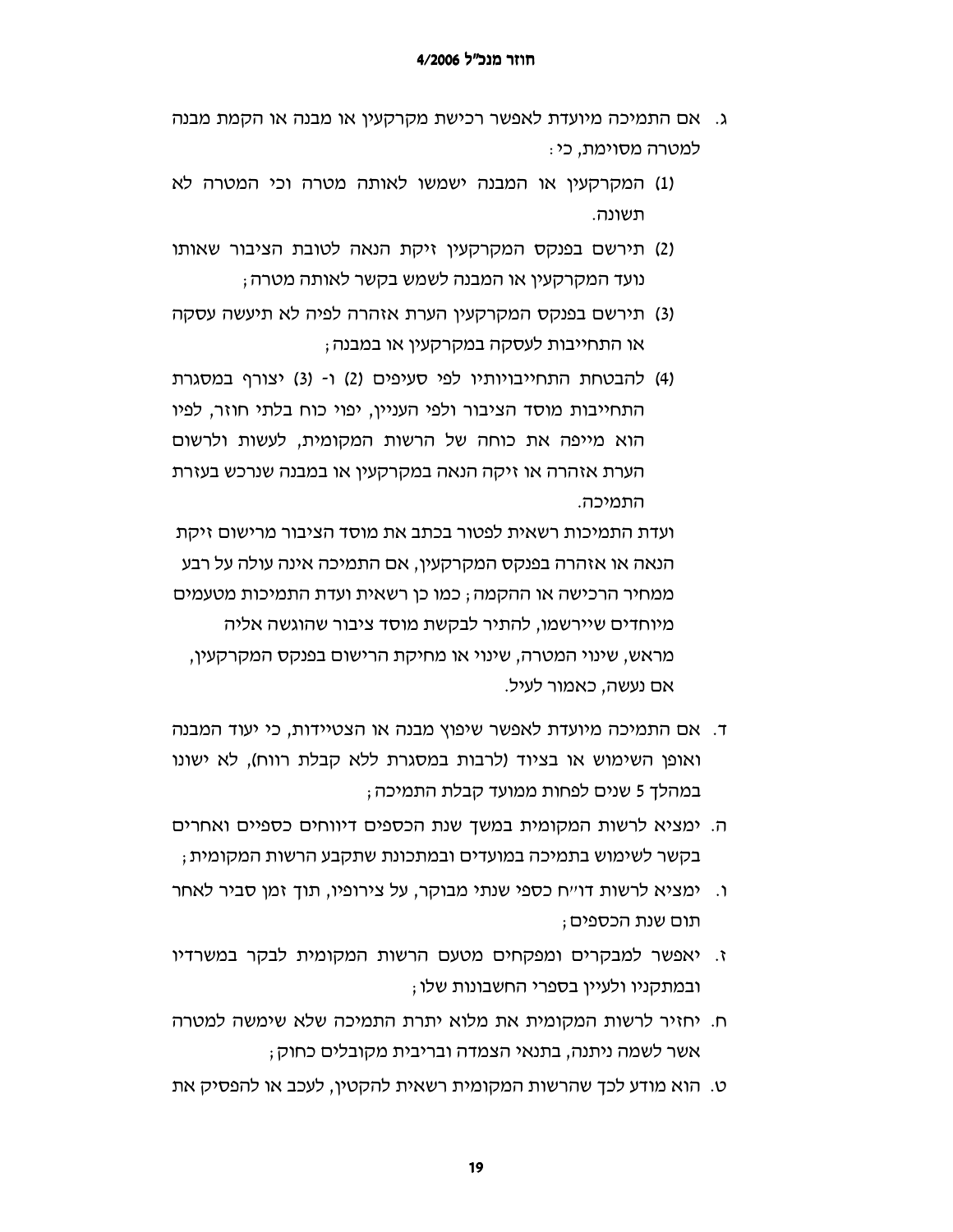- ג. אם התמיכה מיועדת לאפשר רכישת מקרקעין או מבנה או הקמת מבנה למטרה מסוימת, כי :
- (1) המקרקעין או המבנה ישמשו לאותה מטרה וכי המטרה לא תשונה.
- (2) תירשם בפנקס המקרקעין זיקת הנאה לטובת הציבור שאותו נועד המקרקעין או המבנה לשמש בקשר לאותה מטרה ;
- (3) תירשם בפנקס המקרקעין הערת אזהרה לפיה לא תיעשה עסקה או התחייבות לעסקה במקרקעיו או במבנה:
- (4) להבטחת התחייבויותיו לפי סעיפים (2) ו- (3) יצורף במסגרת התחייבות מוסד הציבור ולפי העניין, יפוי כוח בלתי חוזר, לפיו הוא מייפה את כוחה של הרשות המקומית, לעשות ולרשום הערת אזהרה או זיקה הנאה במקרקעין או במבנה שנרכש בעזרת התמיכה.

ועדת התמיכות רשאית לפטור בכתב את מוסד הציבור מרישום זיקת הנאה או אזהרה בפנקס המקרקעין, אם התמיכה אינה עולה על רבע ממחיר הרכישה או ההקמה ; כמו כו רשאית ועדת התמיכות מטעמים מיוחדים שיירשמו, להתיר לבקשת מוסד ציבור שהוגשה אליה מראש, שינוי המטרה, שינוי או מחיקת הרישום בפנקס המקרקעין, אם נעשה. כאמור לעיל.

- ד. אם התמיכה מיועדת לאפשר שיפוץ מבנה או הצטיידות, כי יעוד המבנה ואופן השימוש או בציוד (לרבות במסגרת ללא קבלת רווח), לא ישונו במהלך 5 שנים לפחות ממועד קבלת התמיכה ;
- ה. ימציא לרשות המקומית במשד שנת הכספים דיווחים כספיים ואחרים בקשר לשימוש בתמיכה במועדים ובמתכונת שתקבע הרשות המקומית ;
- ו. ימציא לרשות דו״ח כספי שנתי מבוקר, על צירופיו, תוך זמן סביר לאחר תום שנת הכספים ;
- ז. יאפשר למבקרים ומפקחים מטעם הרשות המקומית לבקר במשרדיו ובמתקניו ולעיין בספרי החשבונות שלו ;
- ח. יחזיר לרשות המקומית את מלוא יתרת התמיכה שלא שימשה למטרה אשר לשמה ניתנה, בתנאי הצמדה ובריבית מקובלים כחוק ;
- ט. הוא מודע לכך שהרשות המקומית רשאית להקטין, לעכב או להפסיק את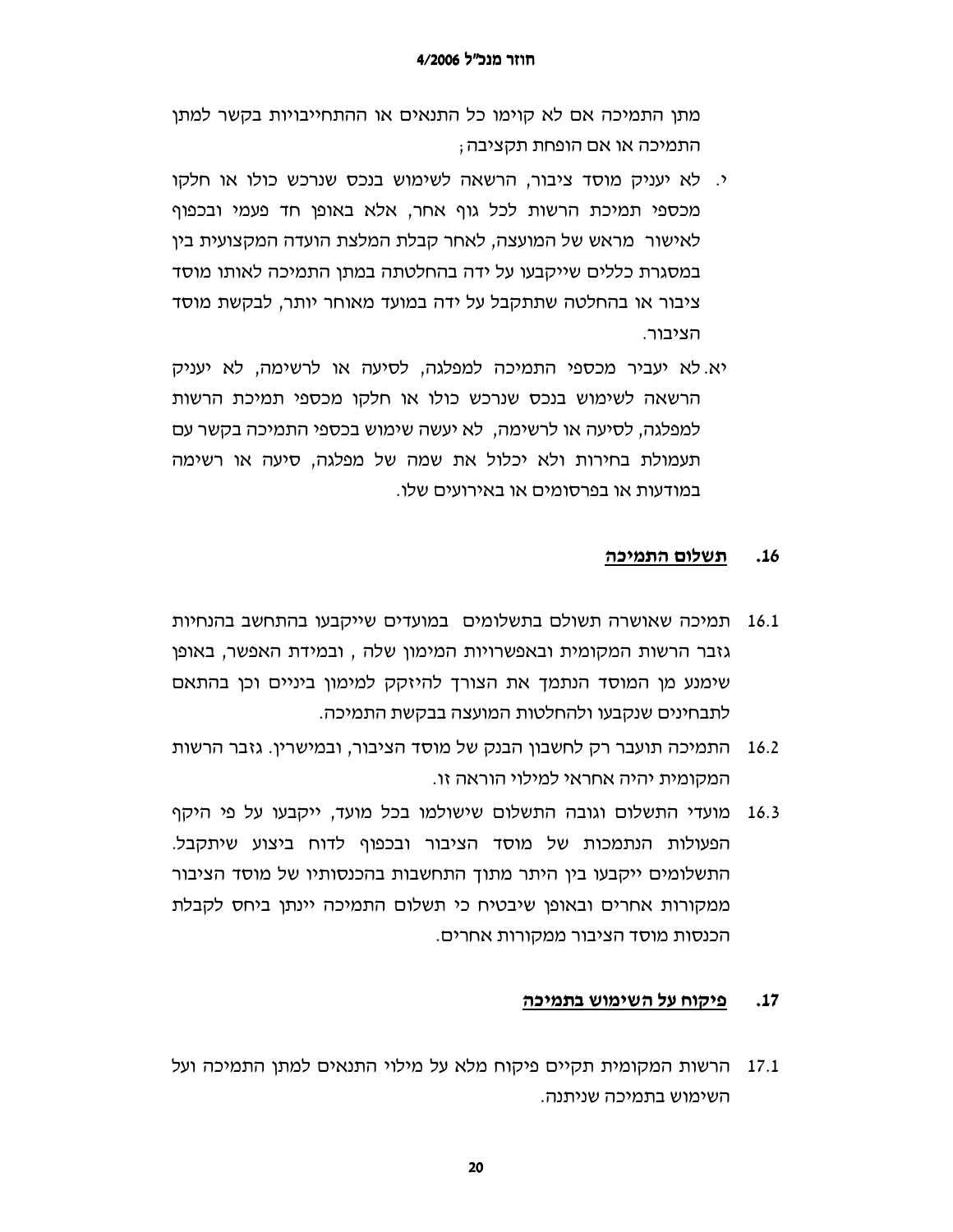מתן התמיכה אם לא קוימו כל התנאים או ההתחייבויות בקשר למתן התמיכה או אם הופחת תקציבה ;

- י. לא יעניק מוסד ציבור, הרשאה לשימוש בנכס שנרכש כולו או חלקו מכספי תמיכת הרשות לכל גוף אחר, אלא באופן חד פעמי ובכפוף לאישור מראש של המועצה. לאחר קבלת המלצת הועדה המקצועית ביו במסגרת כללים שייקבעו על ידה בהחלטתה במתן התמיכה לאותו מוסד ציבור או בהחלטה שתתקבל על ידה במועד מאוחר יותר, לבקשת מוסד הציבור.
- יא. לא יעביר מכספי התמיכה למפלגה, לסיעה או לרשימה, לא יעניק הרשאה לשימוש בנכס שנרכש כולו או חלקו מכספי תמיכת הרשות למפלגה, לסיעה או לרשימה, לא יעשה שימוש בכספי התמיכה בקשר עם תעמולת בחירות ולא יכלול את שמה של מפלגה, סיעה או רשימה במודעות או בפרסומים או באירועים שלו.

#### ת<u>שלום התמיכה</u>  $.16$

- תמיכה שאושרה תשולם בתשלומים במועדים שייקבעו בהתחשב בהנחיות 16.1 גזבר הרשות המקומית ובאפשרויות המימון שלה , ובמידת האפשר, באופו שימנע מן המוסד הנתמך את הצורך להיזקק למימון ביניים וכן בהתאם לתבחינים שנקבעו ולהחלטות המועצה בבקשת התמיכה.
- התמיכה תועבר רק לחשבון הבנק של מוסד הציבור, ובמישרין. גזבר הרשות 16.2 המקומית יהיה אחראי למילוי הוראה זו.
- מועדי התשלום וגובה התשלום שישולמו בכל מועד, ייקבעו על פי היקף 16.3 הפעולות הנתמכות של מוסד הציבור ובכפוף לדוח ביצוע שיתקבל. התשלומים ייקבעו בין היתר מתוך התחשבות בהכנסותיו של מוסד הציבור ממקורות אחרים ובאופו שיבטיח כי תשלום התמיכה יינתן ביחס לקבלת הכנסות מוסד הציבור ממקורות אחרים.

#### פיקוח על השימוש בתמיכה  $.17$

17.1 – הרשות המקומית תקיים פיקוח מלא על מילוי התנאים למתן התמיכה ועל השימוש בתמיכה שניתנה.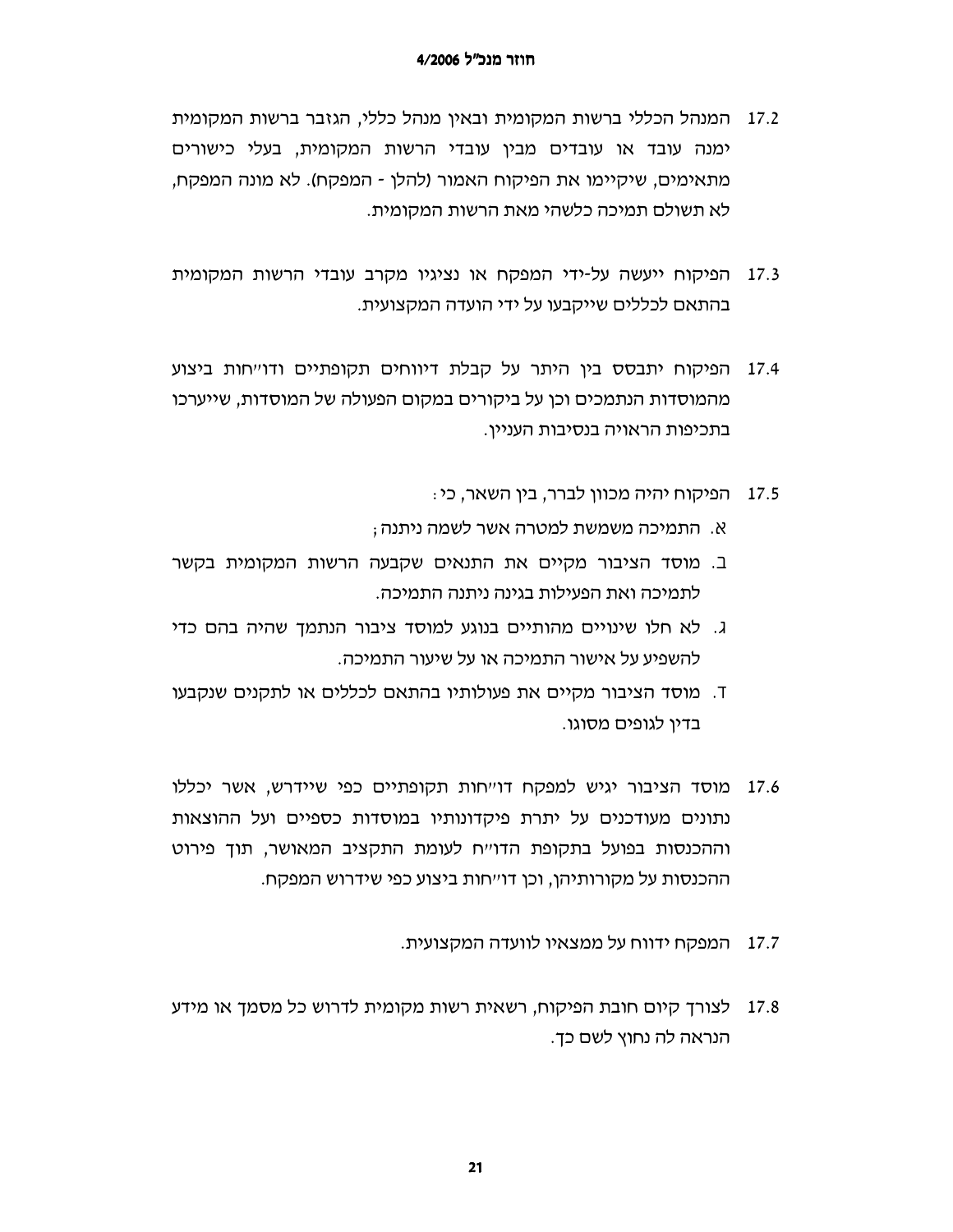- 17.2 המנהל הכללי ברשות המקומית ובאין מנהל כללי, הגזבר ברשות המקומית ימנה עובד או עובדים מבין עובדי הרשות המקומית, בעלי כישורים מתאימים, שיקיימו את הפיקוח האמור (להלן - המפקח). לא מונה המפקח, לא תשולם תמיכה כלשהי מאת הרשות המקומית.
- הפיקוח ייעשה על-ידי המפקח או נציגיו מקרב עובדי הרשות המקומית 17.3 בהתאם לכללים שייקבעו על ידי הועדה המקצועית.
- הפיקוח יתבסס בין היתר על קבלת דיווחים תקופתיים ודו״חות ביצוע 17.4 מהמוסדות הנתמכים וכו על ביקורים במקום הפעולה של המוסדות. שייערכו בתכיפות הראויה בנסיבות העניין.
	- 17.5 הפיקוח יהיה מכוון לברר, בין השאר, כי:
	- א. התמיכה משמשת למטרה אשר לשמה ניתנה;
- ב. מוסד הציבור מקיים את התנאים שקבעה הרשות המקומית בקשר לתמיכה ואת הפעילות בגינה ניתנה התמיכה.
- ג. לא חלו שינויים מהותיים בנוגע למוסד ציבור הנתמך שהיה בהם כדי להשפיע על אישור התמיכה או על שיעור התמיכה.
- T. מוסד הציבור מקיים את פעולותיו בהתאם לכללים או לתקנים שנקבעו בדיו לגופים מסוגו.
- 17.6 מוסד הציבור יגיש למפקח דוייחות תקופתיים כפי שיידרש, אשר יכללו נתונים מעודכנים על יתרת פיקדונותיו במוסדות כספיים ועל ההוצאות וההכנסות בפועל בתקופת הדו׳יח לעומת התקציב המאושר, תוך פירוט ההכנסות על מקורותיהן, וכן דו״חות ביצוע כפי שידרוש המפקח.
	- 17.7 המפקח ידווח על ממצאיו לוועדה המקצועית.
- 17.8 לצורך קיום חובת הפיקוח, רשאית רשות מקומית לדרוש כל מסמך או מידע הנראה לה נחוץ לשם כד.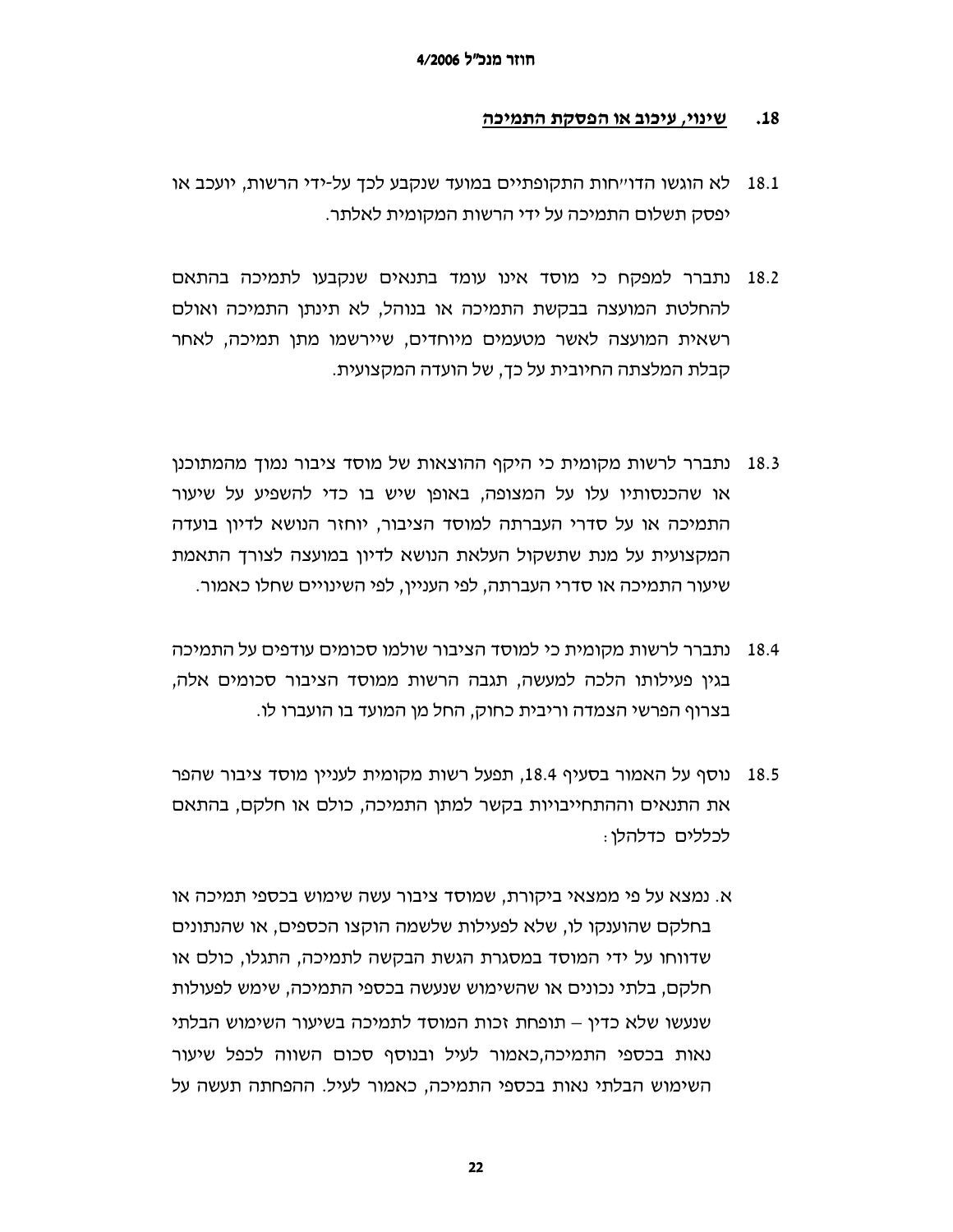#### .18 שינוי, עיכוב או הפסקת התמיכה

- לא הוגשו הדו״חות התקופתיים במועד שנקבע לכד על-ידי הרשות. יועכב או 18.1 יפסק תשלום התמיכה על ידי הרשות המקומית לאלתר.
- 18.2 נתברר למפקח כי מוסד אינו עומד בתנאים שנקבעו לתמיכה בהתאם להחלטת המועצה בבקשת התמיכה או בנוהל, לא תינתן התמיכה ואולם רשאית המועצה לאשר מטעמים מיוחדים, שיירשמו מתן תמיכה, לאחר קבלת המלצתה החיובית על כד. של הועדה המקצועית.
- נתברר לרשות מקומית כי היקף ההוצאות של מוסד ציבור נמוך מהמתוכנו 18.3 או שהכנסותיו עלו על המצופה, באופן שיש בו כדי להשפיע על שיעור התמיכה או על סדרי העברתה למוסד הציבור, יוחזר הנושא לדיון בועדה המקצועית על מנת שתשקול העלאת הנושא לדיון במועצה לצורך התאמת שיעור התמיכה או סדרי העברתה, לפי העניין, לפי השינויים שחלו כאמור.
- 18.4 נתברר לרשות מקומית כי למוסד הציבור שולמו סכומים עודפים על התמיכה בגין פעילותו הלכה למעשה, תגבה הרשות ממוסד הציבור סכומים אלה, בצרוף הפרשי הצמדה וריבית כחוק, החל מן המועד בו הועברו לו.
- נוסף על האמור בסעיף 18.4, תפעל רשות מקומית לעניין מוסד ציבור שהפר 18.5 את התנאים וההתחייבויות בקשר למתן התמיכה, כולם או חלקם, בהתאם לכללים כדלהלו :
- א. נמצא על פי ממצאי ביקורת, שמוסד ציבור עשה שימוש בכספי תמיכה או בחלקם שהוענקו לו, שלא לפעילות שלשמה הוקצו הכספים, או שהנתונים שדווחו על ידי המוסד במסגרת הגשת הבקשה לתמיכה, התגלו, כולם או חלקם, בלתי נכונים או שהשימוש שנעשה בכספי התמיכה, שימש לפעולות שנעשו שלא כדין – תופחת זכות המוסד לתמיכה בשיעור השימוש הבלתי נאות בכספי התמיכה,כאמור לעיל ובנוסף סכום השווה לכפל שיעור השימוש הבלתי נאות בכספי התמיכה, כאמור לעיל. ההפחתה תעשה על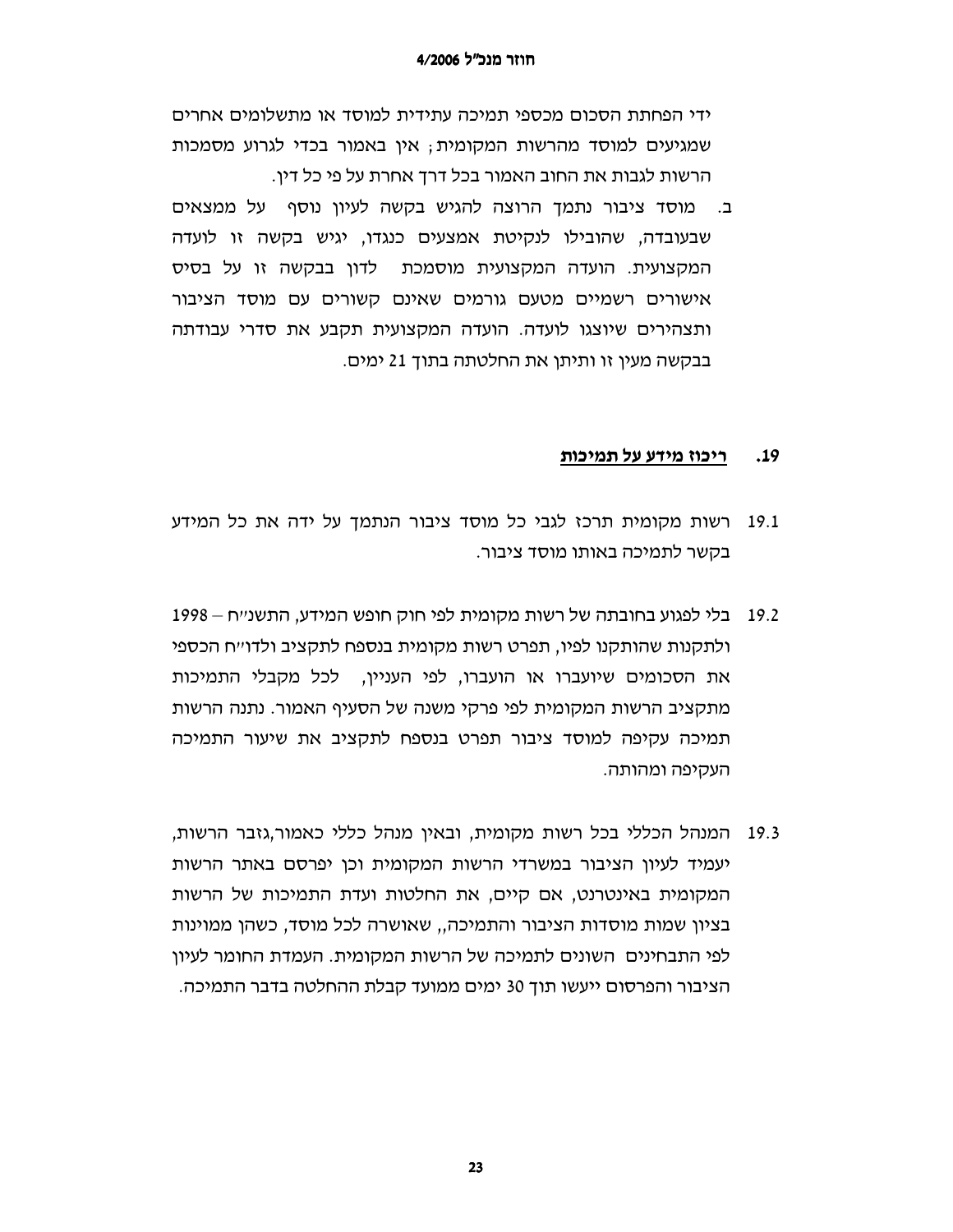ידי הפחתת הסכום מכספי תמיכה עתידית למוסד או מתשלומים אחרים שמגיעים למוסד מהרשות המקומית; אין באמור בכדי לגרוע מסמכות הרשות לגבות את החוב האמור בכל דרך אחרת על פי כל דין.

ב. מוסד ציבור נתמד הרוצה להגיש בקשה לעיון נוסף על ממצאים שבעובדה, שהובילו לנקיטת אמצעים כנגדו, יגיש בקשה זו לועדה המקצועית. הועדה המקצועית מוסמכת \_ לדון בבקשה זו על בסיס אישורים רשמיים מטעם גורמים שאינם קשורים עם מוסד הציבור ותצהירים שיוצגו לועדה. הועדה המקצועית תקבע את סדרי עבודתה בבקשה מעין זו ותיתן את החלטתה בתוך 21 ימים.

#### ריכוז מידע על תמיכות  $.19$

- 19.1 רשות מקומית תרכז לגבי כל מוסד ציבור הנתמך על ידה את כל המידע בקשר לתמיכה באותו מוסד ציבור.
- 19.2 בלי לפגוע בחובתה של רשות מקומית לפי חוק חופש המידע, התשנ״ח ולתקנות שהותקנו לפיו, תפרט רשות מקומית בנספח לתקציב ולדו״ח הכספי את הסכומים שיועברו או הועברו, לפי העניין, לכל מקבלי התמיכות מתקציב הרשות המקומית לפי פרקי משנה של הסעיף האמור. נתנה הרשות תמיכה עקיפה למוסד ציבור תפרט בנספח לתקציב את שיעור התמיכה העקיפה ומהותה.
- 19.3 המנהל הכללי בכל רשות מקומית, ובאין מנהל כללי כאמור,גזבר הרשות, יעמיד לעיון הציבור במשרדי הרשות המקומית וכן יפרסם באתר הרשות המקומית באינטרנט, אם קיים, את החלטות ועדת התמיכות של הרשות בציון שמות מוסדות הציבור והתמיכה,, שאושרה לכל מוסד, כשהן ממוינות לפי התבחינים | השונים לתמיכה של הרשות המקומית. העמדת החומר לעיוו הציבור והפרסום ייעשו תוך 30 ימים ממועד קבלת ההחלטה בדבר התמיכה.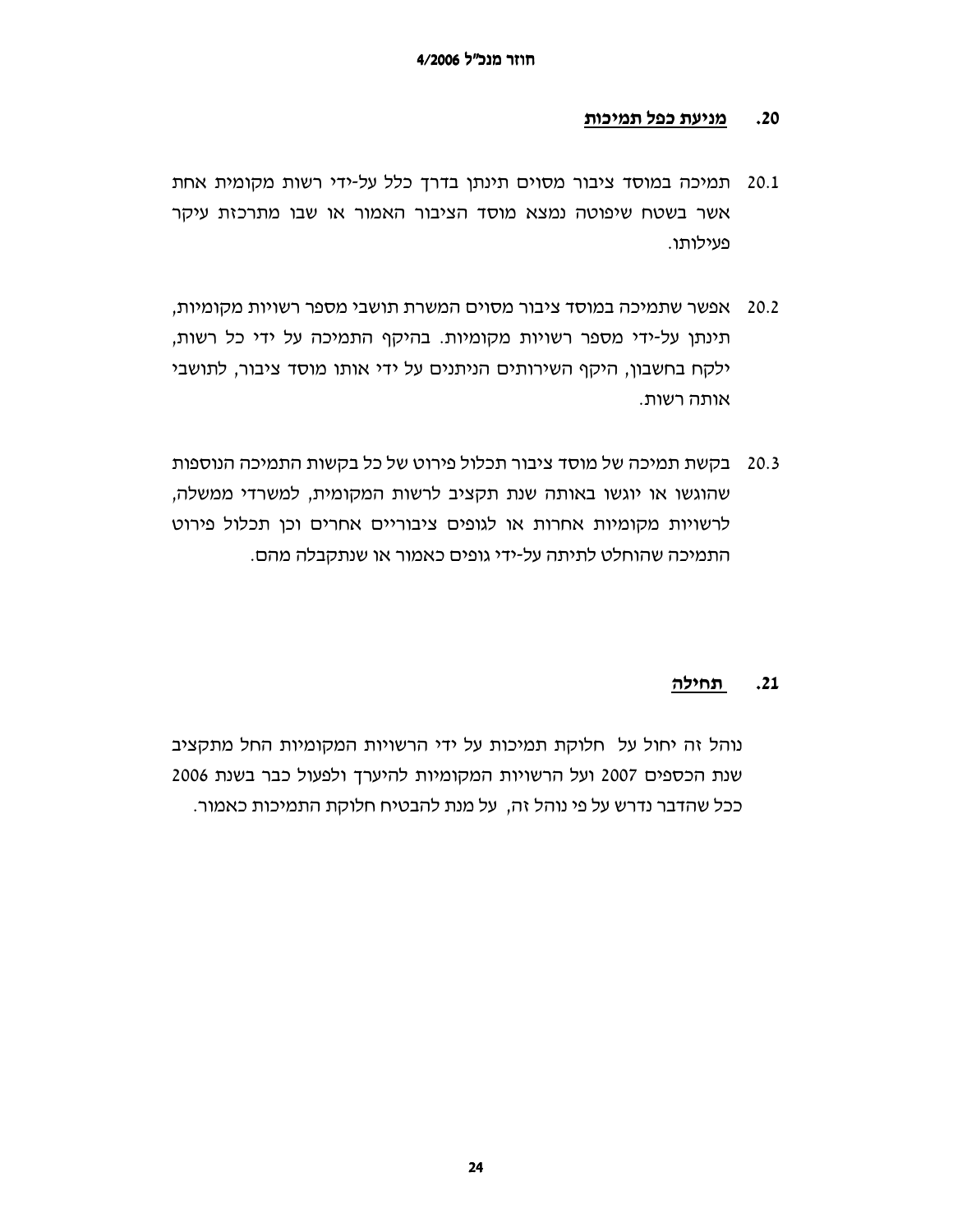#### מניעת כפל תמיכות  $.20$

- 20.1 תמיכה במוסד ציבור מסוים תינתו בדרד כלל על-ידי רשות מקומית אחת אשר בשטח שיפוטה נמצא מוסד הציבור האמור או שבו מתרכזת עיקר פעילותו.
- 20.2 אפשר שתמיכה במוסד ציבור מסוים המשרת תושבי מספר רשויות מקומיות, תינתן על-ידי מספר רשויות מקומיות. בהיקף התמיכה על ידי כל רשות, ילקח בחשבון, היקף השירותים הניתנים על ידי אותו מוסד ציבור, לתושבי אותה רשות.
- 20.3 בקשת תמיכה של מוסד ציבור תכלול פירוט של כל בקשות התמיכה הנוספות שהוגשו או יוגשו באותה שנת תקציב לרשות המקומית, למשרדי ממשלה, לרשויות מקומיות אחרות או לגופים ציבוריים אחרים וכן תכלול פירוט התמיכה שהוחלט לתיתה על-ידי גופים כאמור או שנתקבלה מהם.

#### תחילה  $.21$

נוהל זה יחול על חלוקת תמיכות על ידי הרשויות המקומיות החל מתקציב שנת הכספים 2007 ועל הרשויות המקומיות להיערך ולפעול כבר בשנת 2006 ככל שהדבר נדרש על פי נוהל זה, על מנת להבטיח חלוקת התמיכות כאמור.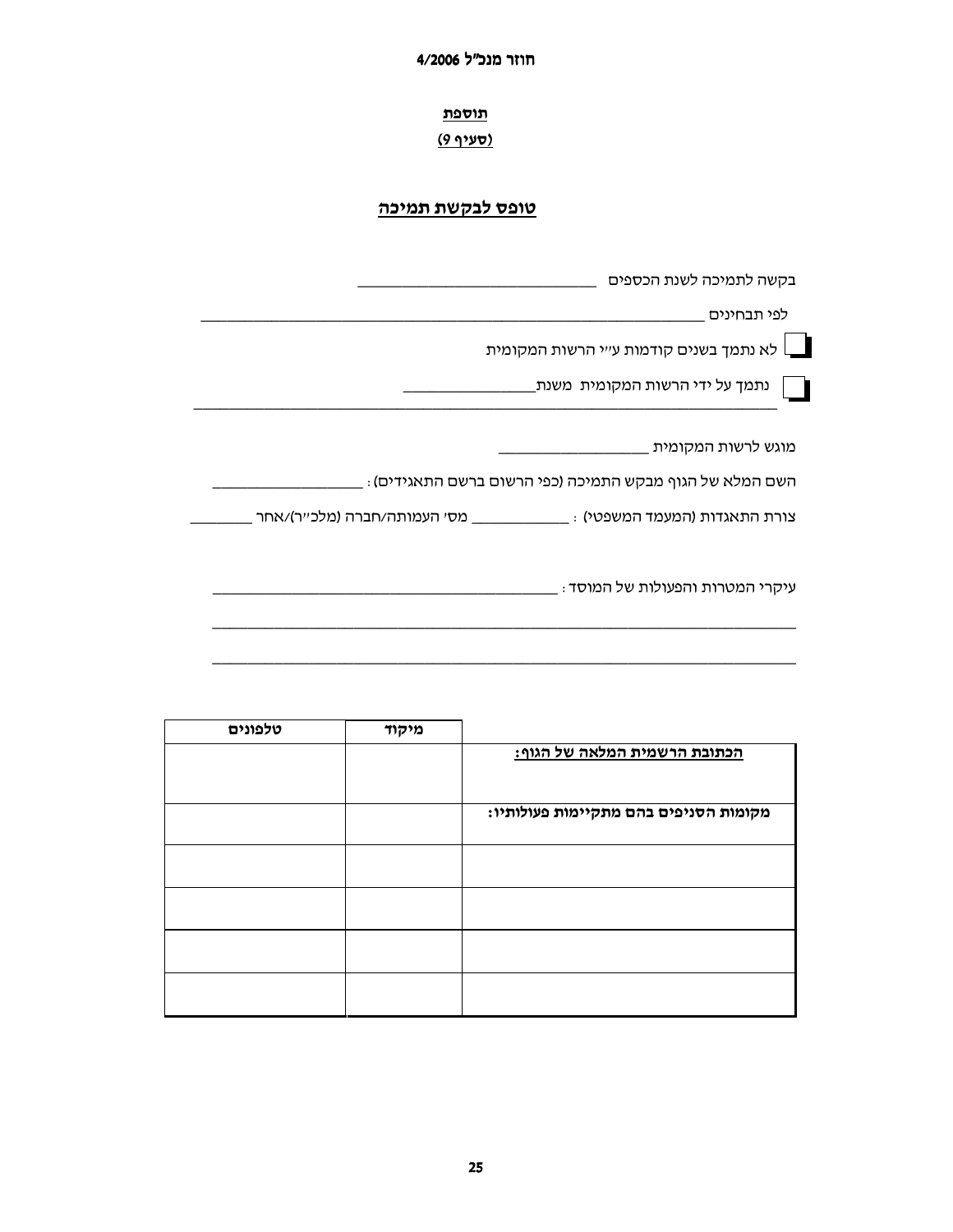חוזר מנכ״ל 4/2006

<u>תוספת</u>

(סעיף 9)

# <u>טופס לבקשת תמיכה</u>

| בקשה לתמיכה לשנת הכספים                                  |
|----------------------------------------------------------|
| לפי תבחינים                                              |
| לא נתמך בשנים קודמות ע״י הרשות המקומית $\,$              |
| נתמך על ידי הרשות המקומית  משנת_                         |
| _ מוגש לרשות המקומית                                     |
| ַ השם המלא של הגוף מבקש התמיכה (כפי הרשום ברשם התאגידים) |
|                                                          |
| _ עיקרי המטרות והפעולות של המוסד                         |
|                                                          |

| טלפונים | מיקוד |                                       |
|---------|-------|---------------------------------------|
|         |       | <u>הכתובת הרשמית המלאה של הגוף:</u>   |
|         |       |                                       |
|         |       | מקומות הסניפים בהם מתקיימות פעולותיו: |
|         |       |                                       |
|         |       |                                       |
|         |       |                                       |
|         |       |                                       |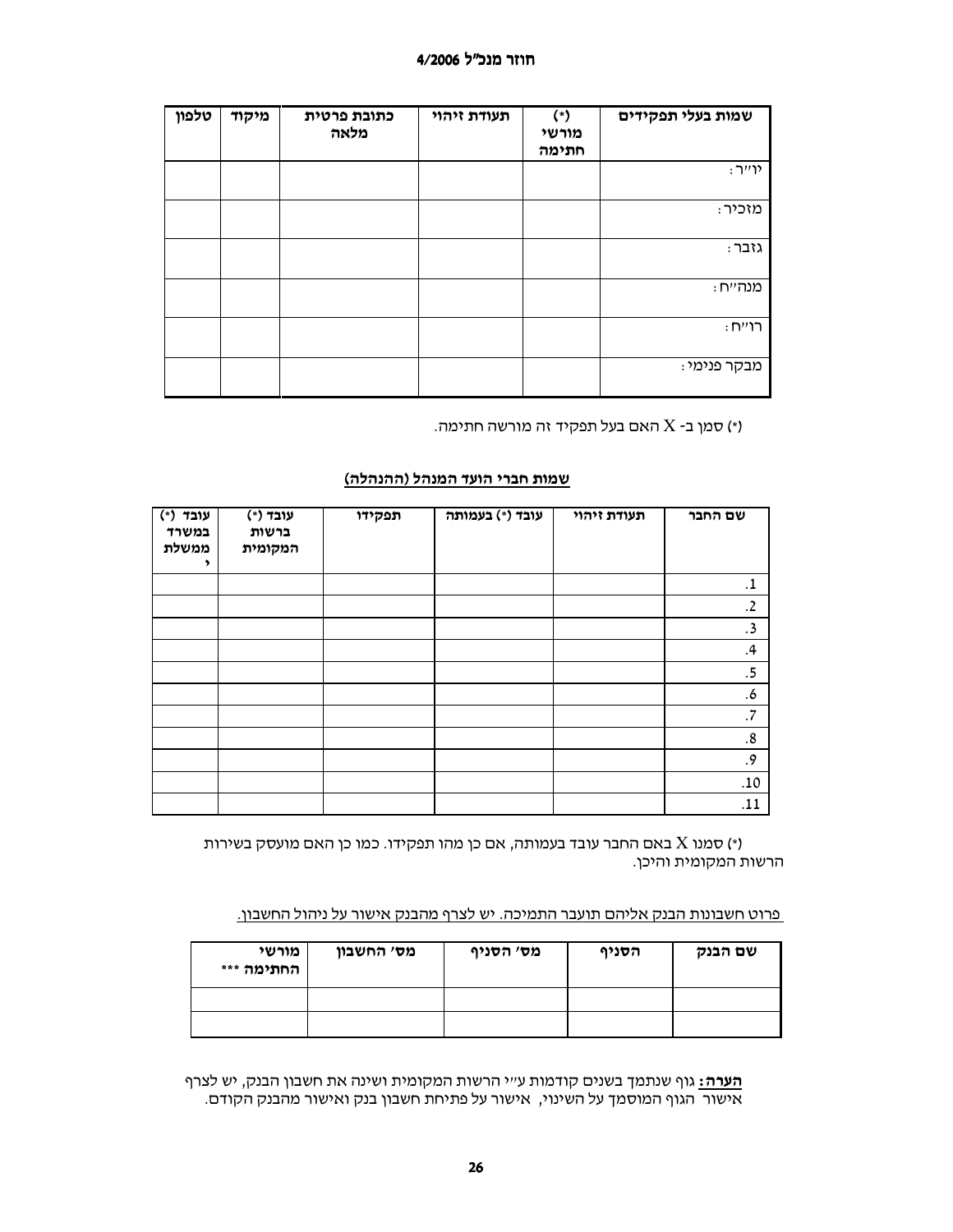## חוזר מנכ״ל 4/2006

| טלפון | מיקוד | כתובת פרטית<br>מלאה | תעודת זיהוי | (*)<br>מורשי<br>חתימה | שמות בעלי תפקידים |
|-------|-------|---------------------|-------------|-----------------------|-------------------|
|       |       |                     |             |                       | : יו״ר            |
|       |       |                     |             |                       | מזכיר:            |
|       |       |                     |             |                       | גזבר:             |
|       |       |                     |             |                       | מנהייח :          |
|       |       |                     |             |                       | : רוייח           |
|       |       |                     |             |                       | מבקר פנימי :      |

. דאם בעל תפקיד זה מורשה חתימה (\*) האם כ

## שמות חברי הועד המנהל (ההנהלה)

| עובד (*)<br>במשרד<br>ממשלת<br>, | עובד (*)<br>ברשות<br>המקומית | תפקידו | עובד (*) בעמותה | תעודת זיהוי | שם החבר    |
|---------------------------------|------------------------------|--------|-----------------|-------------|------------|
|                                 |                              |        |                 |             | $\cdot$ 1  |
|                                 |                              |        |                 |             | .2         |
|                                 |                              |        |                 |             | .3         |
|                                 |                              |        |                 |             | .4         |
|                                 |                              |        |                 |             | .5         |
|                                 |                              |        |                 |             | .6         |
|                                 |                              |        |                 |             | $.7\,$     |
|                                 |                              |        |                 |             | ${\bf .8}$ |
|                                 |                              |        |                 |             | $\cdot$ 9  |
|                                 |                              |        |                 |             | $.10$      |
|                                 |                              |        |                 |             | .11        |

י) סמנו X באם החבר עובד בעמותה, אם כן מהו תפקידו. כמו כן האם מועסק בשירות הרשות המקומית והיכן.

### פרוט חשבונות הבנק אליהם תועבר התמיכה. יש לצרף מהבנק אישור על ניהול החשבון.

| מורשי<br>החתימה *** | מס׳ החשבון | מס׳ הסניף | הסניף | שם הבנק |
|---------------------|------------|-----------|-------|---------|
|                     |            |           |       |         |
|                     |            |           |       |         |

<mark>הערה:</mark> גוף שנתמך בשנים קודמות ע״י הרשות המקומית ושינה את חשבון הבנק, יש לצרף אישור הגוף המוסמך על השינוי, אישור על פתיחת חשבון בנק ואישור מהבנק הקודם.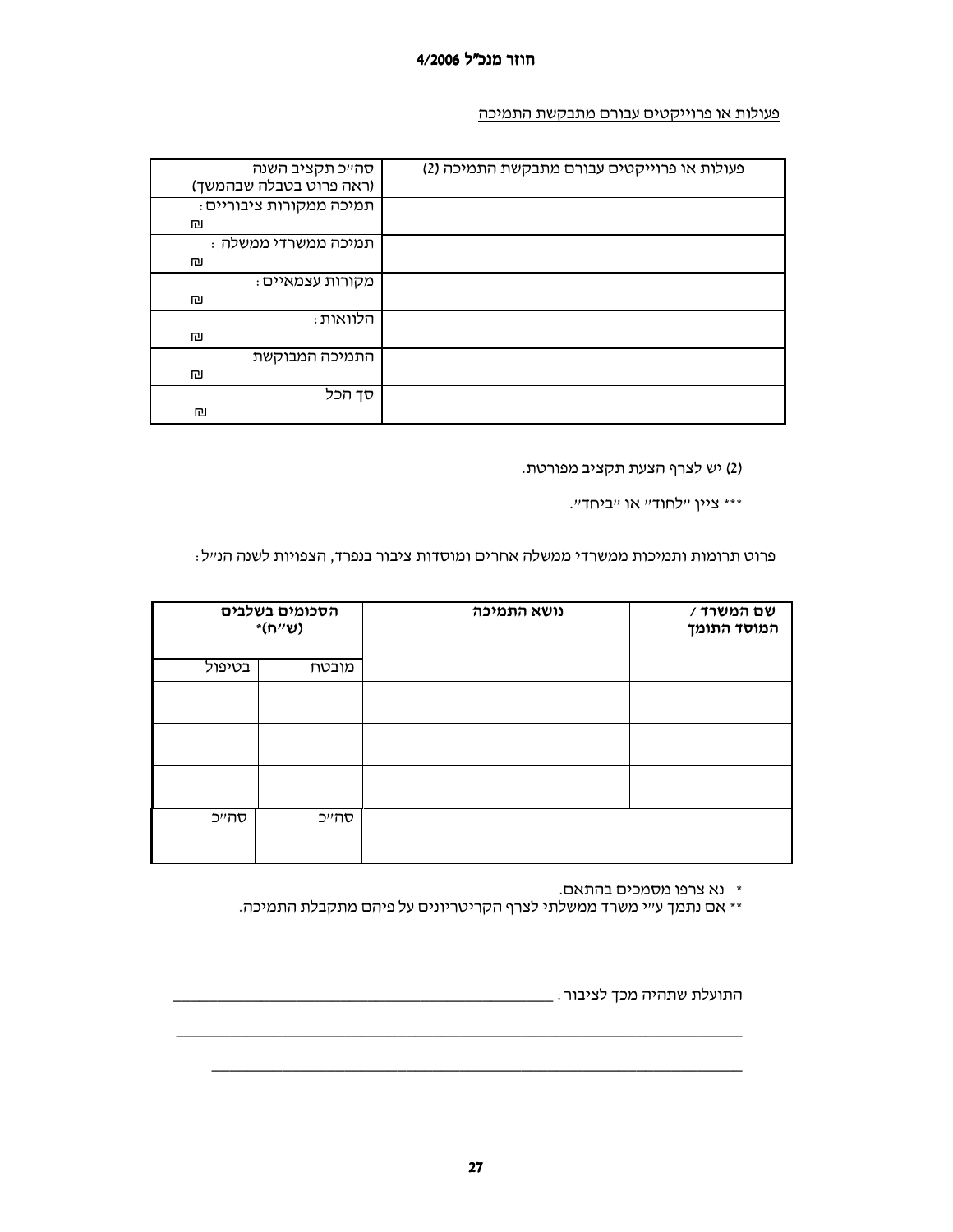פעולות או פרוייקטים עבורם מתבקשת התמיכה

| סה״כ תקציב השנה         | פעולות או פרוייקטים עבורם מתבקשת התמיכה (2) |
|-------------------------|---------------------------------------------|
| (ראה פרוט בטבלה שבהמשך) |                                             |
| תמיכה ממקורות ציבוריים: |                                             |
| 凹                       |                                             |
| ּתמיכה ממשרדי ממשלה     |                                             |
| 凹                       |                                             |
| מקורות עצמאיים :        |                                             |
| 凹                       |                                             |
| ּהלוואות                |                                             |
| 凹                       |                                             |
| התמיכה המבוקשת          |                                             |
| 凹                       |                                             |
| סד הכל                  |                                             |
| 凹                       |                                             |

(2) יש לצרף הצעת תקציב מפורטת.

"\*\*\* ציין "לחוד" או "ביחד".

פרוט תרומות ותמיכות ממשרדי ממשלה אחרים ומוסדות ציבור בנפרד, הצפויות לשנה הנייל:

|        | הסכומים בשלבים<br>$*(n''$ ש) | נושא התמיכה | שם המשרד /<br>המוסד התומך |
|--------|------------------------------|-------------|---------------------------|
| בטיפול | מובטח                        |             |                           |
|        |                              |             |                           |
|        |                              |             |                           |
|        |                              |             |                           |
| סהייכ  | סהייכ                        |             |                           |

\* נא צרפו מסמכים בהתאם.

\*\* אם נתמך עייי משרד ממשלתי לצרף הקריטריונים על פיהם מתקבלת התמיכה.